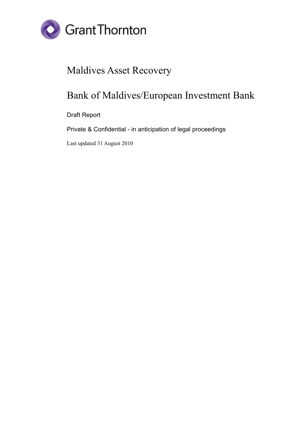

# Maldives Asset Recovery

# Bank of Maldives/European Investment Bank

Draft Report

Private & Confidential - in anticipation of legal proceedings

Last updated 31 August 2010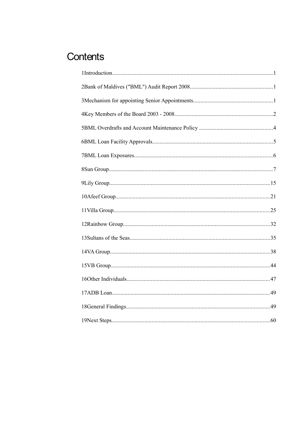# Contents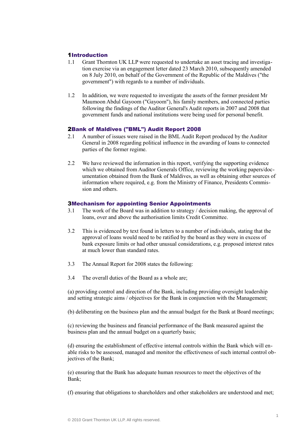# 1Introduction

- 1.1 Grant Thornton UK LLP were requested to undertake an asset tracing and investigation exercise via an engagement letter dated 23 March 2010, subsequently amended on 8 July 2010, on behalf of the Government of the Republic of the Maldives ("the government") with regards to a number of individuals.
- 1.2 In addition, we were requested to investigate the assets of the former president Mr Maumoon Abdul Gayoom ("Gayoom"), his family members, and connected parties following the findings of the Auditor General's Audit reports in 2007 and 2008 that government funds and national institutions were being used for personal benefit.

# 2Bank of Maldives ("BML") Audit Report 2008

- 2.1 A number of issues were raised in the BML Audit Report produced by the Auditor General in 2008 regarding political influence in the awarding of loans to connected parties of the former regime.
- 2.2 We have reviewed the information in this report, verifying the supporting evidence which we obtained from Auditor Generals Office, reviewing the working papers/documentation obtained from the Bank of Maldives, as well as obtaining other sources of information where required, e.g. from the Ministry of Finance, Presidents Commission and others.

## 3Mechanism for appointing Senior Appointments

- 3.1 The work of the Board was in addition to strategy / decision making, the approval of loans, over and above the authorisation limits Credit Committee.
- 3.2 This is evidenced by text found in letters to a number of individuals, stating that the approval of loans would need to be ratified by the board as they were in excess of bank exposure limits or had other unusual considerations, e.g. proposed interest rates at much lower than standard rates.
- 3.3 The Annual Report for 2008 states the following:
- 3.4 The overall duties of the Board as a whole are;

(a) providing control and direction of the Bank, including providing oversight leadership and setting strategic aims / objectives for the Bank in conjunction with the Management;

(b) deliberating on the business plan and the annual budget for the Bank at Board meetings;

(c) reviewing the business and financial performance of the Bank measured against the business plan and the annual budget on a quarterly basis;

(d) ensuring the establishment of effective internal controls within the Bank which will enable risks to be assessed, managed and monitor the effectiveness of such internal control objectives of the Bank;

(e) ensuring that the Bank has adequate human resources to meet the objectives of the Bank;

(f) ensuring that obligations to shareholders and other stakeholders are understood and met;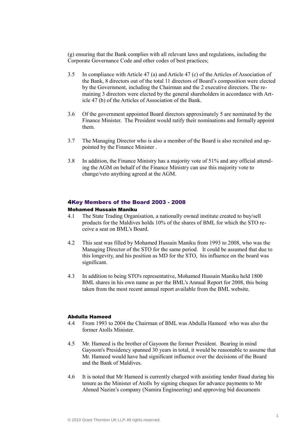(g) ensuring that the Bank complies with all relevant laws and regulations, including the Corporate Governance Code and other codes of best practices;

- 3.5 In compliance with Article 47 (a) and Article 47 (c) of the Articles of Association of the Bank, 8 directors out of the total 11 directors of Board's composition were elected by the Government, including the Chairman and the 2 executive directors. The remaining 3 directors were elected by the general shareholders in accordance with Article 47 (b) of the Articles of Association of the Bank.
- 3.6 Of the government appointed Board directors approximately 5 are nominated by the Finance Minister. The President would ratify their nominations and formally appoint them.
- 3.7 The Managing Director who is also a member of the Board is also recruited and appointed by the Finance Minister .
- 3.8 In addition, the Finance Ministry has a majority vote of 51% and any official attending the AGM on behalf of the Finance Ministry can use this majority vote to change/veto anything agreed at the AGM.

#### 4Key Members of the Board 2003 - 2008

## Mohamed Hussain Maniku

- 4.1 The State Trading Organisation, a nationally owned institute created to buy/sell products for the Maldives holds 10% of the shares of BML for which the STO receive a seat on BML's Board.
- 4.2 This seat was filled by Mohamed Hussain Maniku from 1993 to 2008, who was the Managing Director of the STO for the same period. It could be assumed that due to this longevity, and his position as MD for the STO, his influence on the board was significant.
- 4.3 In addition to being STO's representative, Mohamed Hussain Maniku held 1800 BML shares in his own name as per the BML's Annual Report for 2008, this being taken from the most recent annual report available from the BML website.

## Abdulla Hameed

- 4.4 From 1993 to 2004 the Chairman of BML was Abdulla Hameed who was also the former Atolls Minister.
- 4.5 Mr. Hameed is the brother of Gayoom the former President. Bearing in mind Gayoom's Presidency spanned 30 years in total, it would be reasonable to assume that Mr. Hameed would have had significant influence over the decisions of the Board and the Bank of Maldives.
- 4.6 It is noted that Mr Hameed is currently charged with assisting tender fraud during his tenure as the Minister of Atolls by signing cheques for advance payments to Mr Ahmed Nazim's company (Namira Engineering) and approving bid documents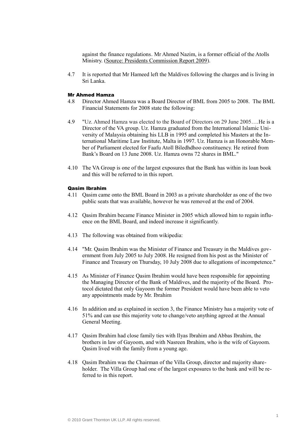against the finance regulations. Mr Ahmed Nazim, is a former official of the Atolls Ministry. (Source: Presidents Commission Report 2009).

4.7 It is reported that Mr Hameed left the Maldives following the charges and is living in Sri Lanka.

#### Mr Ahmed Hamza

- 4.8 Director Ahmed Hamza was a Board Director of BML from 2005 to 2008. The BML Financial Statements for 2008 state the following:
- 4.9 "Uz. Ahmed Hamza was elected to the Board of Directors on 29 June 2005….He is a Director of the VA group. Uz. Hamza graduated from the International Islamic University of Malaysia obtaining his LLB in 1995 and completed his Masters at the International Maritime Law Institute, Malta in 1997. Uz. Hamza is an Honorable Member of Parliament elected for Faafu Atoll Biledhdhoo constituency. He retired from Bank's Board on 13 June 2008. Uz. Hamza owns 72 shares in BML."
- 4.10 The VA Group is one of the largest exposures that the Bank has within its loan book and this will be referred to in this report.

#### Qasim Ibrahim

- 4.11 Qasim came onto the BML Board in 2003 as a private shareholder as one of the two public seats that was available, however he was removed at the end of 2004.
- 4.12 Qasim Ibrahim became Finance Minister in 2005 which allowed him to regain influence on the BML Board, and indeed increase it significantly.
- 4.13 The following was obtained from wikipedia:
- 4.14 "Mr. Qasim Ibrahim was the Minister of Finance and Treasury in the Maldives government from July 2005 to July 2008. He resigned from his post as the Minister of Finance and Treasury on Thursday, 10 July 2008 due to allegations of incompetence."
- 4.15 As Minister of Finance Qasim Ibrahim would have been responsible for appointing the Managing Director of the Bank of Maldives, and the majority of the Board. Protocol dictated that only Gayoom the former President would have been able to veto any appointments made by Mr. Ibrahim
- 4.16 In addition and as explained in section 3, the Finance Ministry has a majority vote of 51% and can use this majority vote to change/veto anything agreed at the Annual General Meeting.
- 4.17 Qasim Ibrahim had close family ties with Ilyas Ibrahim and Abbas Ibrahim, the brothers in law of Gayoom, and with Nasreen Ibrahim, who is the wife of Gayoom. Qasim lived with the family from a young age.
- 4.18 Qasim Ibrahim was the Chairman of the Villa Group, director and majority shareholder. The Villa Group had one of the largest exposures to the bank and will be referred to in this report.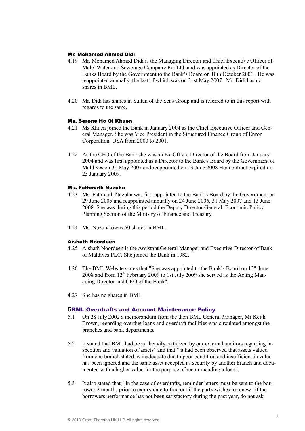## Mr. Mohamed Ahmed Didi

- 4.19 Mr. Mohamed Ahmed Didi is the Managing Director and Chief Executive Officer of Male' Water and Sewerage Company Pvt Ltd, and was appointed as Director of the Banks Board by the Government to the Bank's Board on 18th October 2001. He was reappointed annually, the last of which was on 31st May 2007. Mr. Didi has no shares in BML.
- 4.20 Mr. Didi has shares in Sultan of the Seas Group and is referred to in this report with regards to the same.

## Ms. Serene Ho Oi Khuen

- 4.21 Ms Khuen joined the Bank in January 2004 as the Chief Executive Officer and General Manager. She was Vice President in the Structured Finance Group of Enron Corporation, USA from 2000 to 2001.
- 4.22 As the CEO of the Bank she was an Ex-Officio Director of the Board from January 2004 and was first appointed as a Director to the Bank's Board by the Government of Maldives on 31 May 2007 and reappointed on 13 June 2008 Her contract expired on 25 January 2009.

## Ms. Fathmath Nuzuha

- 4.23 Ms. Fathmath Nuzuha was first appointed to the Bank's Board by the Government on 29 June 2005 and reappointed annually on 24 June 2006, 31 May 2007 and 13 June 2008. She was during this period the Deputy Director General; Economic Policy Planning Section of the Ministry of Finance and Treasury.
- 4.24 Ms. Nuzuha owns 50 shares in BML.

#### Aishath Noordeen

- 4.25 Aishath Noordeen is the Assistant General Manager and Executive Director of Bank of Maldives PLC. She joined the Bank in 1982.
- 4.26 The BML Website states that "She was appointed to the Bank's Board on 13<sup>th</sup> June  $2008$  and from  $12<sup>th</sup>$  February 2009 to 1st July 2009 she served as the Acting Managing Director and CEO of the Bank".
- 4.27 She has no shares in BML

#### 5BML Overdrafts and Account Maintenance Policy

- 5.1 On 28 July 2002 a memorandum from the then BML General Manager, Mr Keith Brown, regarding overdue loans and overdraft facilities was circulated amongst the branches and bank departments.
- 5.2 It stated that BML had been "heavily criticized by our external auditors regarding inspection and valuation of assets" and that " it had been observed that assets valued from one branch stated as inadequate due to poor condition and insufficient in value has been ignored and the same asset accepted as security by another branch and documented with a higher value for the purpose of recommending a loan".
- 5.3 It also stated that, "in the case of overdrafts, reminder letters must be sent to the borrower 2 months prior to expiry date to find out if the party wishes to renew. if the borrowers performance has not been satisfactory during the past year, do not ask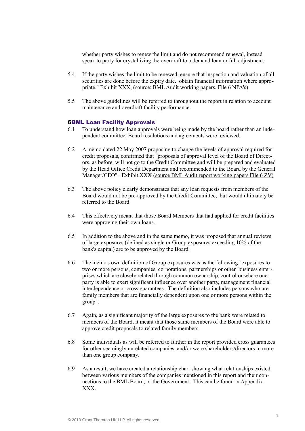whether party wishes to renew the limit and do not recommend renewal, instead speak to party for crystallizing the overdraft to a demand loan or full adjustment.

- 5.4 If the party wishes the limit to be renewed, ensure that inspection and valuation of all securities are done before the expiry date. obtain financial information where appropriate." Exhibit XXX, (source: BML Audit working papers, File 6 NPA's)
- 5.5 The above guidelines will be referred to throughout the report in relation to account maintenance and overdraft facility performance.

#### 6BML Loan Facility Approvals

- 6.1 To understand how loan approvals were being made by the board rather than an independent committee, Board resolutions and agreements were reviewed.
- 6.2 A memo dated 22 May 2007 proposing to change the levels of approval required for credit proposals, confirmed that "proposals of approval level of the Board of Directors, as before, will not go to the Credit Committee and will be prepared and evaluated by the Head Office Credit Department and recommended to the Board by the General Manager/CEO". Exhibit XXX (source BML Audit report working papers File 6 ZV)
- 6.3 The above policy clearly demonstrates that any loan requests from members of the Board would not be pre-approved by the Credit Committee, but would ultimately be referred to the Board.
- 6.4 This effectively meant that those Board Members that had applied for credit facilities were approving their own loans.
- 6.5 In addition to the above and in the same memo, it was proposed that annual reviews of large exposures (defined as single or Group exposures exceeding 10% of the bank's capital) are to be approved by the Board.
- 6.6 The memo's own definition of Group exposures was as the following "exposures to two or more persons, companies, corporations, partnerships or other business enterprises which are closely related through common ownership, control or where one party is able to exert significant influence over another party, management financial interdependence or cross guarantees. The definition also includes persons who are family members that are financially dependent upon one or more persons within the group".
- 6.7 Again, as a significant majority of the large exposures to the bank were related to members of the Board, it meant that those same members of the Board were able to approve credit proposals to related family members.
- 6.8 Some individuals as will be referred to further in the report provided cross guarantees for other seemingly unrelated companies, and/or were shareholders/directors in more than one group company.
- 6.9 As a result, we have created a relationship chart showing what relationships existed between various members of the companies mentioned in this report and their connections to the BML Board, or the Government. This can be found in Appendix XXX.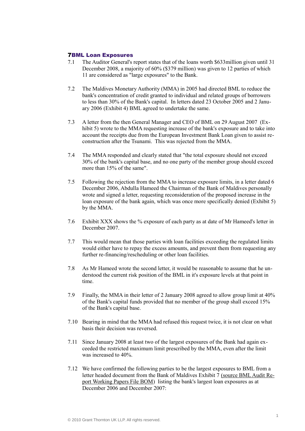## 7BML Loan Exposures

- 7.1 The Auditor General's report states that of the loans worth \$633million given until 31 December 2008, a majority of 60% (\$379 million) was given to 12 parties of which 11 are considered as "large exposures" to the Bank.
- 7.2 The Maldives Monetary Authority (MMA) in 2005 had directed BML to reduce the bank's concentration of credit granted to individual and related groups of borrowers to less than 30% of the Bank's capital. In letters dated 23 October 2005 and 2 January 2006 (Exhibit 4) BML agreed to undertake the same.
- 7.3 A letter from the then General Manager and CEO of BML on 29 August 2007 (Exhibit 5) wrote to the MMA requesting increase of the bank's exposure and to take into account the receipts due from the European Investment Bank Loan given to assist reconstruction after the Tsunami. This was rejected from the MMA.
- 7.4 The MMA responded and clearly stated that "the total exposure should not exceed 30% of the bank's capital base, and no one party of the member group should exceed more than 15% of the same".
- 7.5 Following the rejection from the MMA to increase exposure limits, in a letter dated 6 December 2006, Abdulla Hameed the Chairman of the Bank of Maldives personally wrote and signed a letter, requesting reconsideration of the proposed increase in the loan exposure of the bank again, which was once more specifically denied (Exhibit 5) by the MMA.
- 7.6 Exhibit XXX shows the % exposure of each party as at date of Mr Hameed's letter in December 2007.
- 7.7 This would mean that those parties with loan facilities exceeding the regulated limits would either have to repay the excess amounts, and prevent them from requesting any further re-financing/rescheduling or other loan facilities.
- 7.8 As Mr Hameed wrote the second letter, it would be reasonable to assume that he understood the current risk position of the BML in it's exposure levels at that point in time.
- 7.9 Finally, the MMA in their letter of 2 January 2008 agreed to allow group limit at 40% of the Bank's capital funds provided that no member of the group shall exceed 15% of the Bank's capital base.
- 7.10 Bearing in mind that the MMA had refused this request twice, it is not clear on what basis their decision was reversed.
- 7.11 Since January 2008 at least two of the largest exposures of the Bank had again exceeded the restricted maximum limit prescribed by the MMA, even after the limit was increased to 40%.
- 7.12 We have confirmed the following parties to be the largest exposures to BML from a letter headed document from the Bank of Maldives Exhibit 7 (source BML Audit Report Working Papers File BOM) listing the bank's largest loan exposures as at December 2006 and December 2007: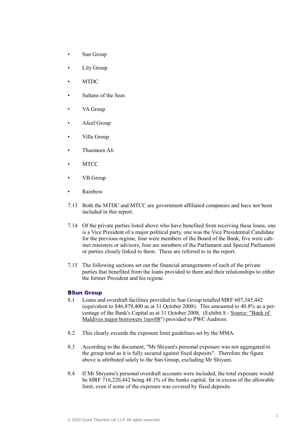- Sun Group
- Lily Group
- MTDC
- Sultans of the Seas
- VA Group
- Afeef Group
- Villa Group
- Thasmeen Ali
- MTCC
- VB Group
- Rainbow
- 7.13 Both the MTDC and MTCC are government affiliated companies and have not been included in this report.
- 7.14 Of the private parties listed above who have benefited from receiving these loans, one is a Vice President of a major political party, one was the Vice Presidential Candidate for the previous regime, four were members of the Board of the Bank, five were cabinet ministers or advisors, four are members of the Parliament and Special Parliament or parties closely linked to them. These are referred to in the report.
- 7.15 The following sections set out the financial arrangements of each of the private parties that benefited from the loans provided to them and their relationships to either the former President and his regime.

#### 8Sun Group

- 8.1 Loans and overdraft facilities provided to Sun Group totalled MRF 607,345,442 (equivalent to \$46,879,400 as at 31 October 2008). This amounted to 40.8% as a percentage of the Bank's Capital as at 31 October 2008, (Exhibit 8 - Source: "Bank of Maldives major borrowers 1nov08") provided to PWC Auditors.
- 8.2 This clearly exceeds the exposure limit guidelines set by the MMA.
- 8.3 According to the document, "Mr Shiyam's personal exposure was not aggregated to the group total as it is fully secured against fixed deposits". Therefore the figure above is attributed solely to the Sun Group, excluding Mr Shiyam.
- 8.4 If Mr Shiyams's personal overdraft accounts were included, the total exposure would be MRF 716,220,442 being 48.1% of the banks capital, far in excess of the allowable limit, even if some of the exposure was covered by fixed deposits.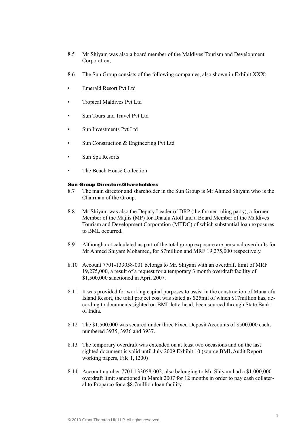- 8.5 Mr Shiyam was also a board member of the Maldives Tourism and Development Corporation,
- 8.6 The Sun Group consists of the following companies, also shown in Exhibit XXX:
- Emerald Resort Pvt Ltd
- Tropical Maldives Pvt Ltd
- Sun Tours and Travel Pvt Ltd
- Sun Investments Pvt Ltd
- Sun Construction & Engineering Pvt Ltd
- Sun Spa Resorts
- The Beach House Collection

#### Sun Group Directors/Shareholders

- 8.7 The main director and shareholder in the Sun Group is Mr Ahmed Shiyam who is the Chairman of the Group.
- 8.8 Mr Shiyam was also the Deputy Leader of DRP (the former ruling party), a former Member of the Majlis (MP) for Dhaalu Atoll and a Board Member of the Maldives Tourism and Development Corporation (MTDC) of which substantial loan exposures to BML occurred.
- 8.9 Although not calculated as part of the total group exposure are personal overdrafts for Mr Ahmed Shiyam Mohamed, for \$7million and MRF 19,275,000 respectively.
- 8.10 Account 7701-133058-001 belongs to Mr. Shiyam with an overdraft limit of MRF 19,275,000, a result of a request for a temporary 3 month overdraft facility of \$1,500,000 sanctioned in April 2007.
- 8.11 It was provided for working capital purposes to assist in the construction of Manarafu Island Resort, the total project cost was stated as \$25mil of which \$17million has, according to documents sighted on BML letterhead, been sourced through State Bank of India.
- 8.12 The \$1,500,000 was secured under three Fixed Deposit Accounts of \$500,000 each, numbered 3935, 3936 and 3937.
- 8.13 The temporary overdraft was extended on at least two occasions and on the last sighted document is valid until July 2009 Exhibit 10 (source BML Audit Report working papers, File 1, I200)
- 8.14 Account number 7701-133058-002, also belonging to Mr. Shiyam had a \$1,000,000 overdraft limit sanctioned in March 2007 for 12 months in order to pay cash collateral to Proparco for a \$8.7million loan facility.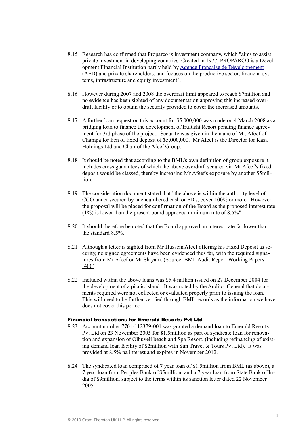- 8.15 Research has confirmed that Proparco is investment company, which "aims to assist private investment in developing countries. Created in 1977, PROPARCO is a Development Financial Institution partly held by [Agence Française de Développement](http://www.afd.com/) (AFD) and private shareholders, and focuses on the productive sector, financial systems, infrastructure and equity investment".
- 8.16 However during 2007 and 2008 the overdraft limit appeared to reach \$7million and no evidence has been sighted of any documentation approving this increased overdraft facility or to obtain the security provided to cover the increased amounts.
- 8.17 A further loan request on this account for \$5,000,000 was made on 4 March 2008 as a bridging loan to finance the development of Irufushi Resort pending finance agreement for 3rd phase of the project. Security was given in the name of Mr. Afeef of Champa for lien of fixed deposit of \$5,000,000. Mr Afeef is the Director for Kasa Holdings Ltd and Chair of the Afeef Group.
- 8.18 It should be noted that according to the BML's own definition of group exposure it includes cross guarantees of which the above overdraft secured via Mr Afeef's fixed deposit would be classed, thereby increasing Mr Afeef's exposure by another \$5million.
- 8.19 The consideration document stated that "the above is within the authority level of CCO under secured by unencumbered cash or FD's, cover 100% or more. However the proposal will be placed for confirmation of the Board as the proposed interest rate  $(1\%)$  is lower than the present board approved minimum rate of 8.5%"
- 8.20 It should therefore be noted that the Board approved an interest rate far lower than the standard 8.5%.
- 8.21 Although a letter is sighted from Mr Hussein Afeef offering his Fixed Deposit as security, no signed agreements have been evidenced thus far, with the required signatures from Mr Afeef or Mr Shiyam. (Source: BML Audit Report Working Papers I400)
- 8.22 Included within the above loans was \$5.4 million issued on 27 December 2004 for the development of a picnic island. It was noted by the Auditor General that documents required were not collected or evaluated properly prior to issuing the loan. This will need to be further verified through BML records as the information we have does not cover this period.

#### Financial transactions for Emerald Resorts Pvt Ltd

- 8.23 Account number 7701-112379-001 was granted a demand loan to Emerald Resorts Pvt Ltd on 23 November 2005 for \$1.5million as part of syndicate loan for renovation and expansion of Olhuveli beach and Spa Resort, (including refinancing of existing demand loan facility of \$2million with Sun Travel & Tours Pvt Ltd). It was provided at 8.5% pa interest and expires in November 2012.
- 8.24 The syndicated loan comprised of 7 year loan of \$1.5million from BML (as above), a 7 year loan from Peoples Bank of \$5million, and a 7 year loan from State Bank of India of \$9million, subject to the terms within its sanction letter dated 22 November 2005.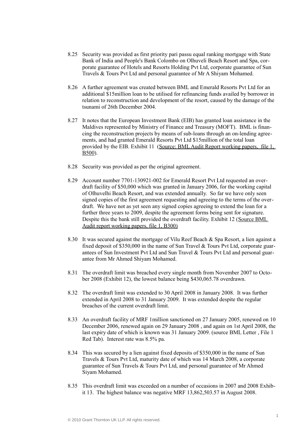- 8.25 Security was provided as first priority pari passu equal ranking mortgage with State Bank of India and People's Bank Colombo on Olhuveli Beach Resort and Spa, corporate guarantee of Hotels and Resorts Holding Pvt Ltd, corporate guarantee of Sun Travels & Tours Pvt Ltd and personal guarantee of Mr A Shiyam Mohamed.
- 8.26 A further agreement was created between BML and Emerald Resorts Pvt Ltd for an additional \$15million loan to be utilised for refinancing funds availed by borrower in relation to reconstruction and development of the resort, caused by the damage of the tsunami of 26th December 2004.
- 8.27 It notes that the European Investment Bank (EIB) has granted loan assistance in the Maldives represented by Ministry of Finance and Treasury (MOFT). BML is financing the reconstruction projects by means of sub-loans through an on-lending agreements, and had granted Emerald Resorts Pvt Ltd \$15million of the total loan provided by the EIB. Exhibit 11 (Source: BML Audit Report working papers, file 1, B500).
- 8.28 Security was provided as per the original agreement.
- 8.29 Account number 7701-130921-002 for Emerald Resort Pvt Ltd requested an overdraft facility of \$50,000 which was granted in January 2006, for the working capital of Olhuvelhi Beach Resort, and was extended annually. So far we have only seen signed copies of the first agreement requesting and agreeing to the terms of the overdraft. We have not as yet seen any signed copies agreeing to extend the loan for a further three years to 2009, despite the agreement forms being sent for signature. Despite this the bank still provided the overdraft facility. Exhibit 12 (Source BML Audit report working papers, file 1, B300)
- 8.30 It was secured against the mortgage of Vilu Reef Beach & Spa Resort, a lien against a fixed deposit of \$350,000 in the name of Sun Travel & Tours Pvt Ltd, corporate guarantees of Sun Investment Pvt Ltd and Sun Travel & Tours Pvt Ltd and personal guarantee from Mr Ahmed Shiyam Mohamed.
- 8.31 The overdraft limit was breached every single month from November 2007 to October 2008 (Exhibit 12), the lowest balance being \$430,065.78 overdrawn.
- 8.32 The overdraft limit was extended to 30 April 2008 in January 2008. It was further extended in April 2008 to 31 January 2009. It was extended despite the regular breaches of the current overdraft limit.
- 8.33 An overdraft facility of MRF 1million sanctioned on 27 January 2005, renewed on 10 December 2006, renewed again on 29 January 2008 , and again on 1st April 2008, the last expiry date of which is known was 31 January 2009. (source BML Letter , File 1 Red Tab). Interest rate was 8.5% pa.
- 8.34 This was secured by a lien against fixed deposits of \$350,000 in the name of Sun Travels & Tours Pvt Ltd, maturity date of which was 14 March 2008, a corporate guarantee of Sun Travels & Tours Pvt Ltd, and personal guarantee of Mr Ahmed Siyam Mohamed.
- 8.35 This overdraft limit was exceeded on a number of occasions in 2007 and 2008 Exhibit 13. The highest balance was negative MRF 13,862,503.57 in August 2008.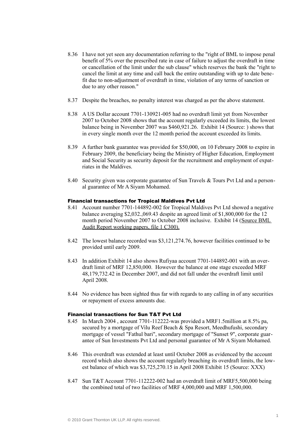- 8.36 I have not yet seen any documentation referring to the "right of BML to impose penal benefit of 5% over the prescribed rate in case of failure to adjust the overdraft in time or cancellation of the limit under the sub clause" which reserves the bank the "right to cancel the limit at any time and call back the entire outstanding with up to date benefit due to non-adjustment of overdraft in time, violation of any terms of sanction or due to any other reason."
- 8.37 Despite the breaches, no penalty interest was charged as per the above statement.
- 8.38 A US Dollar account 7701-130921-005 had no overdraft limit yet from November 2007 to October 2008 shows that the account regularly exceeded its limits, the lowest balance being in November 2007 was \$460,921.26. Exhibit 14 (Source: ) shows that in every single month over the 12 month period the account exceeded its limits.
- 8.39 A further bank guarantee was provided for \$50,000, on 10 February 2008 to expire in February 2009, the beneficiary being the Ministry of Higher Education, Employment and Social Security as security deposit for the recruitment and employment of expatriates in the Maldives.
- 8.40 Security given was corporate guarantee of Sun Travels & Tours Pvt Ltd and a personal guarantee of Mr A Siyam Mohamed.

#### Financial transactions for Tropical Maldives Pvt Ltd

- 8.41 Account number 7701-144892-002 for Tropical Maldives Pvt Ltd showed a negative balance averaging \$2,032.,069.43 despite an agreed limit of \$1,800,000 for the 12 month period November 2007 to October 2008 inclusive. Exhibit 14 (Source BML Audit Report working papers, file 1 C300).
- 8.42 The lowest balance recorded was \$3,121,274.76, however facilities continued to be provided until early 2009.
- 8.43 In addition Exhibit 14 also shows Rufiyaa account 7701-144892-001 with an overdraft limit of MRF 12,850,000. However the balance at one stage exceeded MRF 48,179,732.42 in December 2007, and did not fall under the overdraft limit until April 2008.
- 8.44 No evidence has been sighted thus far with regards to any calling in of any securities or repayment of excess amounts due.

## Financial transactions for Sun T&T Pvt Ltd

- 8.45 In March 2004 , account 7701-112222-was provided a MRF1.5million at 8.5% pa, secured by a mortgage of Vilu Reef Beach & Spa Resort, Meedhufushi, secondary mortgage of vessel "Fathul bari", secondary mortgage of "Sunset 9", corporate guarantee of Sun Investments Pvt Ltd and personal guarantee of Mr A Siyam Mohamed.
- 8.46 This overdraft was extended at least until October 2008 as evidenced by the account record which also shows the account regularly breaching its overdraft limits, the lowest balance of which was \$3,725,270.15 in April 2008 Exhibit 15 (Source: XXX)
- 8.47 Sun T&T Account 7701-112222-002 had an overdraft limit of MRF5,500,000 being the combined total of two facilities of MRF 4,000,000 and MRF 1,500,000.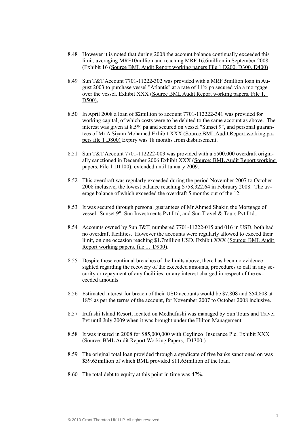- 8.48 However it is noted that during 2008 the account balance continually exceeded this limit, averaging MRF10million and reaching MRF 16.6million in September 2008. (Exhibit 16 (Source BML Audit Report working papers File 1 D200, D300, D400)
- 8.49 Sun T&T Account 7701-11222-302 was provided with a MRF 5million loan in August 2003 to purchase vessel "Atlantis" at a rate of 11% pa secured via a mortgage over the vessel. Exhibit XXX (Source BML Audit Report working papers, File 1, D500).
- 8.50 In April 2008 a loan of \$2million to account 7701-112222-341 was provided for working capital, of which costs were to be debited to the same account as above. The interest was given at 8.5% pa and secured on vessel "Sunset 9", and personal guarantees of Mr A Siyam Mohamed Exhibit XXX (Source BML Audit Report working papers file 1 D800) Expiry was 18 months from disbursement.
- 8.51 Sun T&T Account 7701-112222-003 was provided with a \$500,000 overdraft originally sanctioned in December 2006 Exhibit XXX (Source: BML Audit Report working papers, File 1 D1100), extended until January 2009.
- 8.52 This overdraft was regularly exceeded during the period November 2007 to October 2008 inclusive, the lowest balance reaching \$758,322.64 in February 2008. The average balance of which exceeded the overdraft 5 months out of the 12.
- 8.53 It was secured through personal guarantees of Mr Ahmed Shakir, the Mortgage of vessel "Sunset 9", Sun Investments Pvt Ltd, and Sun Travel & Tours Pvt Ltd..
- 8.54 Accounts owned by Sun T&T, numbered 7701-11222-015 and 016 in USD, both had no overdraft facilities. However the accounts were regularly allowed to exceed their limit, on one occasion reaching \$1.7million USD. Exhibit XXX (Source: BML Audit Report working papers, file 1, D900).
- 8.55 Despite these continual breaches of the limits above, there has been no evidence sighted regarding the recovery of the exceeded amounts, procedures to call in any security or repayment of any facilities, or any interest charged in respect of the exceeded amounts
- 8.56 Estimated interest for breach of their USD accounts would be \$7,808 and \$54,808 at 18% as per the terms of the account, for November 2007 to October 2008 inclusive.
- 8.57 Irufushi Island Resort, located on Medhufushi was managed by Sun Tours and Travel Pvt until July 2009 when it was brought under the Hilton Management.
- 8.58 It was insured in 2008 for \$85,000,000 with Ceylinco Insurance Plc. Exhibit XXX (Source: BML Audit Report Working Papers, D1300.)
- 8.59 The original total loan provided through a syndicate of five banks sanctioned on was \$39.65million of which BML provided \$11.65million of the loan.
- 8.60 The total debt to equity at this point in time was 47%.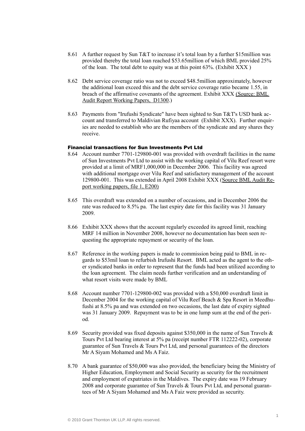- 8.61 A further request by Sun T&T to increase it's total loan by a further \$15million was provided thereby the total loan reached \$53.65million of which BML provided 25% of the loan. The total debt to equity was at this point 63%. (Exhibit XXX )
- 8.62 Debt service coverage ratio was not to exceed \$48.5million approximately, however the additional loan exceed this and the debt service coverage ratio became 1.55, in breach of the affirmative covenants of the agreement. Exhibit XXX (Source: BML Audit Report Working Papers, D1300.)
- 8.63 Payments from "Irufushi Syndicate" have been sighted to Sun T&T's USD bank account and transferred to Maldivian Rufiyaa account (Exhibit XXX). Further enquiries are needed to establish who are the members of the syndicate and any shares they receive.

#### Financial transactions for Sun Investments Pvt Ltd

- 8.64 Account number 7701-129800-001 was provided with overdraft facilities in the name of Sun Investments Pvt Ltd to assist with the working capital of Vilu Reef resort were provided at a limit of MRF1,000,000 in December 2006. This facility was agreed with additional mortgage over Vilu Reef and satisfactory management of the account 129800-001. This was extended in April 2008 Exhibit XXX (Source BML Audit Report working papers, file 1, E200)
- 8.65 This overdraft was extended on a number of occasions, and in December 2006 the rate was reduced to 8.5% pa. The last expiry date for this facility was 31 January 2009.
- 8.66 Exhibit XXX shows that the account regularly exceeded its agreed limit, reaching MRF 14 million in November 2008, however no documentation has been seen requesting the appropriate repayment or security of the loan.
- 8.67 Reference in the working papers is made to commission being paid to BML in regards to \$53mil loan to refurbish Irufushi Resort. BML acted as the agent to the other syndicated banks in order to represent that the funds had been utilized according to the loan agreement. The claim needs further verification and an understanding of what resort visits were made by BML
- 8.68 Account number 7701-129800-002 was provided with a \$50,000 overdraft limit in December 2004 for the working capital of Vilu Reef Beach & Spa Resort in Meedhufushi at 8.5% pa and was extended on two occasions, the last date of expiry sighted was 31 January 2009. Repayment was to be in one lump sum at the end of the period.
- 8.69 Security provided was fixed deposits against \$350,000 in the name of Sun Travels & Tours Pvt Ltd bearing interest at 5% pa (receipt number FTR 112222-02), corporate guarantee of Sun Travels & Tours Pvt Ltd, and personal guarantees of the directors Mr A Siyam Mohamed and Ms A Faiz.
- 8.70 A bank guarantee of \$50,000 was also provided, the beneficiary being the Ministry of Higher Education, Employment and Social Security as security for the recruitment and employment of expatriates in the Maldives. The expiry date was 19 February 2008 and corporate guarantee of Sun Travels & Tours Pvt Ltd, and personal guarantees of Mr A Siyam Mohamed and Ms A Faiz were provided as security.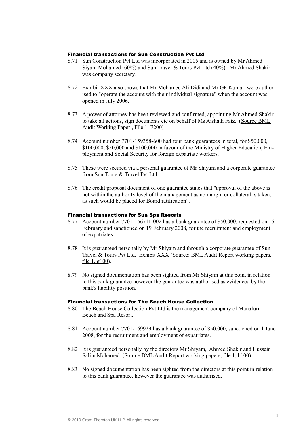## Financial transactions for Sun Construction Pvt Ltd

- 8.71 Sun Construction Pvt Ltd was incorporated in 2005 and is owned by Mr Ahmed Siyam Mohamed (60%) and Sun Travel & Tours Pvt Ltd (40%). Mr Ahmed Shakir was company secretary.
- 8.72 Exhibit XXX also shows that Mr Mohamed Ali Didi and Mr GF Kumar were authorised to "operate the account with their individual signature" when the account was opened in July 2006.
- 8.73 A power of attorney has been reviewed and confirmed, appointing Mr Ahmed Shakir to take all actions, sign documents etc on behalf of Ms Aishath Faiz. (Source BML Audit Working Paper , File 1, F200)
- 8.74 Account number 7701-159358-600 had four bank guarantees in total, for \$50,000, \$100,000, \$50,000 and \$100,000 in favour of the Ministry of Higher Education, Employment and Social Security for foreign expatriate workers.
- 8.75 These were secured via a personal guarantee of Mr Shiyam and a corporate guarantee from Sun Tours & Travel Pvt Ltd.
- 8.76 The credit proposal document of one guarantee states that "approval of the above is not within the authority level of the management as no margin or collateral is taken, as such would be placed for Board ratification".

#### Financial transactions for Sun Spa Resorts

- 8.77 Account number 7701-156711-002 has a bank guarantee of \$50,000, requested on 16 February and sanctioned on 19 February 2008, for the recruitment and employment of expatriates.
- 8.78 It is guaranteed personally by Mr Shiyam and through a corporate guarantee of Sun Travel & Tours Pvt Ltd. Exhibit XXX (Source: BML Audit Report working papers, file  $1, g100$ ).
- 8.79 No signed documentation has been sighted from Mr Shiyam at this point in relation to this bank guarantee however the guarantee was authorised as evidenced by the bank's liability position.

#### Financial transactions for The Beach House Collection

- 8.80 The Beach House Collection Pvt Ltd is the management company of Manafuru Beach and Spa Resort.
- 8.81 Account number 7701-169929 has a bank guarantee of \$50,000, sanctioned on 1 June 2008, for the recruitment and employment of expatriates.
- 8.82 It is guaranteed personally by the directors Mr Shiyam, Ahmed Shakir and Hussain Salim Mohamed. (Source BML Audit Report working papers, file 1, h100).
- 8.83 No signed documentation has been sighted from the directors at this point in relation to this bank guarantee, however the guarantee was authorised.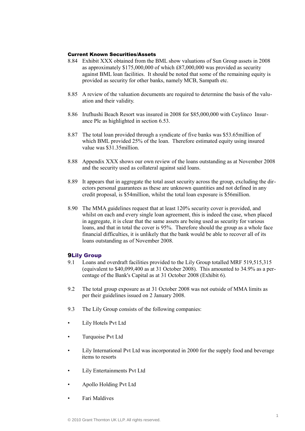## Current Known Securities/Assets

- 8.84 Exhibit XXX obtained from the BML show valuations of Sun Group assets in 2008 as approximately \$175,000,000 of which £87,000,000 was provided as security against BML loan facilities. It should be noted that some of the remaining equity is provided as security for other banks, namely MCB, Sampath etc.
- 8.85 A review of the valuation documents are required to determine the basis of the valuation and their validity.
- 8.86 Irufhushi Beach Resort was insured in 2008 for \$85,000,000 with Ceylinco Insurance Plc as highlighted in section 6.53.
- 8.87 The total loan provided through a syndicate of five banks was \$53.65million of which BML provided 25% of the loan. Therefore estimated equity using insured value was \$31.35million.
- 8.88 Appendix XXX shows our own review of the loans outstanding as at November 2008 and the security used as collateral against said loans.
- 8.89 It appears that in aggregate the total asset security across the group, excluding the directors personal guarantees as these are unknown quantities and not defined in any credit proposal, is \$54million, whilst the total loan exposure is \$56million.
- 8.90 The MMA guidelines request that at least 120% security cover is provided, and whilst on each and every single loan agreement, this is indeed the case, when placed in aggregate, it is clear that the same assets are being used as security for various loans, and that in total the cover is 95%. Therefore should the group as a whole face financial difficulties, it is unlikely that the bank would be able to recover all of its loans outstanding as of November 2008.

## 9Lily Group

- 9.1 Loans and overdraft facilities provided to the Lily Group totalled MRF 519,515,315 (equivalent to \$40,099,400 as at 31 October 2008). This amounted to 34.9% as a percentage of the Bank's Capital as at 31 October 2008 (Exhibit 6).
- 9.2 The total group exposure as at 31 October 2008 was not outside of MMA limits as per their guidelines issued on 2 January 2008.
- 9.3 The Lily Group consists of the following companies:
- Lily Hotels Pvt Ltd
- Turquoise Pvt Ltd
- Lily International Pvt Ltd was incorporated in 2000 for the supply food and beverage items to resorts
- Lily Entertainments Pvt Ltd
- Apollo Holding Pvt Ltd
- Fari Maldives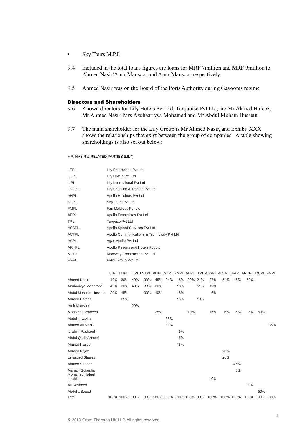- Sky Tours M.P.L
- 9.4 Included in the total loans figures are loans for MRF 7million and MRF 9million to Ahmed Nasir/Amir Mansoor and Amir Mansoor respectively.
- 9.5 Ahmed Nasir was on the Board of the Ports Authority during Gayooms regime

#### Directors and Shareholders

- 9.6 Known directors for Lily Hotels Pvt Ltd, Turquoise Pvt Ltd, are Mr Ahmed Hafeez, Mr Ahmed Nasir, Mrs Azuhaariyya Mohamed and Mr Abdul Muhsin Hussein.
- 9.7 The main shareholder for the Lily Group is Mr Ahmed Nasir, and Exhibit XXX shows the relationships that exist between the group of companies. A table showing shareholdings is also set out below:

#### MR. NASIR & RELATED PARTIES (LILY)

| LEPL         | Lily Enterprises Pvt Ltd                   |
|--------------|--------------------------------------------|
| LHPL         | Lily Hotels Pte Ltd                        |
| LIPL         | Lily International Pvt Ltd                 |
| <b>LSTPL</b> | Lily Shipping & Trading Pvt Ltd            |
| <b>AHPL</b>  | Apollo Holdings Pvt Ltd                    |
| <b>STPL</b>  | Sky Tours Pvt Ltd                          |
| <b>FMPL</b>  | Fari Maldives Pyt Ltd                      |
| <b>AEPL</b>  | Apollo Enterprises Pvt Ltd                 |
| TPL          | Turgoise Pvt Ltd                           |
| <b>ASSPL</b> | Apollo Speed Services Pvt Ltd              |
| <b>ACTPL</b> | Apollo Communications & Technology Pvt Ltd |
| AAPL         | Agas Apollo Pvt Ltd                        |
| <b>ARHPL</b> | Apollo Resorts and Hotels Pvt Ltd          |
| <b>MCPL</b>  | Moreway Construction Pvt Ltd               |
| FGPL         | Falim Group Pvt Ltd                        |
|              |                                            |

|                                           |     | LEPL LHPL      |     |     |     |     |     |                             |     |      | LIPL LSTPL AHPL STPL FMPL AEPL TPL ASSPL ACTPL AAPL ARHPL MCPL FGPL |     |     |           |     |
|-------------------------------------------|-----|----------------|-----|-----|-----|-----|-----|-----------------------------|-----|------|---------------------------------------------------------------------|-----|-----|-----------|-----|
| <b>Ahmed Nasir</b>                        | 40% | 30%            | 40% | 33% | 45% | 34% | 18% | 90% 21%                     |     | 27%  | 54%                                                                 | 45% | 72% |           |     |
| Azuhariyya Mohamed                        | 40% | 30%            | 40% | 33% | 20% |     | 18% |                             | 51% | 12%  |                                                                     |     |     |           |     |
| Abdul Muhusin Hussain                     | 20% | 15%            |     | 33% | 10% |     | 18% |                             |     | 6%   |                                                                     |     |     |           |     |
| Ahmed Hafeez                              |     | 25%            |     |     |     |     | 18% |                             | 18% |      |                                                                     |     |     |           |     |
| Amir Mansoor                              |     |                | 20% |     |     |     |     |                             |     |      |                                                                     |     |     |           |     |
| Mohamed Waheed                            |     |                |     |     | 25% |     |     | 10%                         |     | 15%  | 6%                                                                  | 5%  | 8%  | 50%       |     |
| Abdulla Nazim                             |     |                |     |     |     | 33% |     |                             |     |      |                                                                     |     |     |           |     |
| Ahmed Ali Manik                           |     |                |     |     |     | 33% |     |                             |     |      |                                                                     |     |     |           | 38% |
| Ibrahim Rasheed                           |     |                |     |     |     |     | 5%  |                             |     |      |                                                                     |     |     |           |     |
| Abdul Qadir Ahmed                         |     |                |     |     |     |     | 5%  |                             |     |      |                                                                     |     |     |           |     |
| <b>Ahmed Nazeer</b>                       |     |                |     |     |     |     | 18% |                             |     |      |                                                                     |     |     |           |     |
| <b>Ahmed Riyaz</b>                        |     |                |     |     |     |     |     |                             |     |      | 20%                                                                 |     |     |           |     |
| <b>Unissued Shares</b>                    |     |                |     |     |     |     |     |                             |     |      | 20%                                                                 |     |     |           |     |
| Ahmed Saheer                              |     |                |     |     |     |     |     |                             |     |      |                                                                     | 45% |     |           |     |
| Aishath Gulaisha<br><b>Mohamed Haleel</b> |     |                |     |     |     |     |     |                             |     |      |                                                                     | 5%  |     |           |     |
| Ibrahim                                   |     |                |     |     |     |     |     |                             |     | 40%  |                                                                     |     |     |           |     |
| Ali Rasheed                               |     |                |     |     |     |     |     |                             |     |      |                                                                     |     | 20% |           |     |
| Abdulla Saeed                             |     |                |     |     |     |     |     |                             |     |      |                                                                     |     |     | 50%       |     |
| Total                                     |     | 100% 100% 100% |     |     |     |     |     | 99% 100% 100% 100% 100% 90% |     | 100% | 100% 100%                                                           |     |     | 100% 100% | 38% |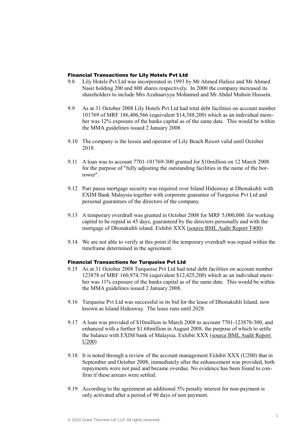#### Financial Transactions for Lily Hotels Pvt Ltd

- 9.8 Lily Hotels Pvt Ltd was incorporated in 1993 by Mr Ahmed Hafeez and Mr Ahmed Nasir holding 200 and 800 shares respectively. In 2000 the company increased its shareholders to include Mrs Azuhaariyya Mohamed and Mr Abdul Muhsin Hussein.
- 9.9 As at 31 October 2008 Lily Hotels Pvt Ltd had total debt facilities on account number 101769 of MRF 186,406,566 (equivalent \$14,388,200) which as an individual member was 12% exposure of the banks capital as of the same date. This would be within the MMA guidelines issued 2 January 2008.
- 9.10 The company is the lessee and operator of Lily Beach Resort valid until October 2018.
- 9.11 A loan was to account 7701-101769-300 granted for \$10million on 12 March 2008 for the purpose of "fully adjusting the outstanding facilities in the name of the borrower".
- 9.12 Pari passu mortgage security was required over Island Hideaway at Dhonakuhli with EXIM Bank Malaysia together with corporate guarantee of Turquoise Pvt Ltd and personal guarantees of the directors of the company.
- 9.13 A temporary overdraft was granted in October 2008 for MRF 5,000,000. for working capital to be repaid in 45 days, guaranteed by the directors personally and with the mortgage of Dhonakuhli island. Exhibit XXX (source BML Audit Report T400)
- 9.14 We are not able to verify at this point if the temporary overdraft was repaid within the timeframe determined in the agreement.

#### Financial Transactions for Turquoise Pvt Ltd

- 9.15 As at 31 October 2008 Turquoise Pvt Ltd had total debt facilities on account number 123878 of MRF 160,974,758 (equivalent \$12,425,200) which as an individual member was 11% exposure of the banks capital as of the same date. This would be within the MMA guidelines issued 2 January 2008.
- 9.16 Turquoise Pvt Ltd was successful in its bid for the lease of Dhonakuhli Island, now known as Island Hideaway. The lease runs until 2028
- 9.17 A loan was provided of \$10million in March 2008 to account 7701-123878-300, and enhanced with a further \$1.68million in August 2008, the purpose of which to settle the balance with EXIM bank of Malaysia. Exhibit XXX (source BML Audit Report U200)
- 9.18 It is noted through a review of the account management Exhibit XXX (U200) that in September and October 2008, immediately after the enhancement was provided, both repayments were not paid and became overdue. No evidence has been found to confirm if these arrears were settled.
- 9.19 According to the agreement an additional 5% penalty interest for non-payment is only activated after a period of 90 days of non payment.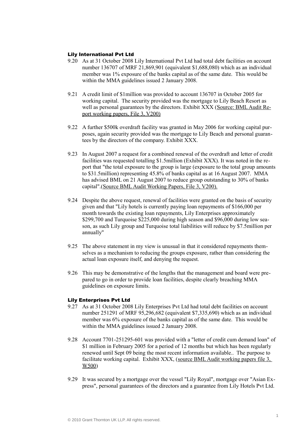## Lily International Pvt Ltd

- 9.20 As at 31 October 2008 Lily International Pvt Ltd had total debt facilities on account number 136707 of MRF 21,869,901 (equivalent \$1,688,080) which as an individual member was 1% exposure of the banks capital as of the same date. This would be within the MMA guidelines issued 2 January 2008.
- 9.21 A credit limit of \$1million was provided to account 136707 in October 2005 for working capital. The security provided was the mortgage to Lily Beach Resort as well as personal guarantees by the directors. Exhibit XXX (Source: BML Audit Report working papers, File 3, V200)
- 9.22 A further \$500k overdraft facility was granted in May 2006 for working capital purposes, again security provided was the mortgage to Lily Beach and personal guarantees by the directors of the company. Exhibit XXX.
- 9.23 In August 2007 a request for a combined renewal of the overdraft and letter of credit facilities was requested totalling \$1.5million (Exhibit XXX). It was noted in the report that "the total exposure to the group is large (exposure to the total group amounts to \$31.5million) representing 45.8% of banks capital as at 16 August 2007. MMA has advised BML on 21 August 2007 to reduce group outstanding to 30% of banks capital".(Source BML Audit Working Papers, File 3, V200).
- 9.24 Despite the above request, renewal of facilities were granted on the basis of security given and that "Lily hotels is currently paying loan repayments of \$166,000 per month towards the existing loan repayments, Lily Enterprises approximately \$299,700 and Turquoise \$225,000 during high season and \$96,000 during low season, as such Lily group and Turquoise total liabilities will reduce by \$7.5million per annually"
- 9.25 The above statement in my view is unusual in that it considered repayments themselves as a mechanism to reducing the groups exposure, rather than considering the actual loan exposure itself, and denying the request.
- 9.26 This may be demonstrative of the lengths that the management and board were prepared to go in order to provide loan facilities, despite clearly breaching MMA guidelines on exposure limits.

#### Lily Enterprises Pvt Ltd

- 9.27 As at 31 October 2008 Lily Enterprises Pvt Ltd had total debt facilities on account number 251291 of MRF 95,296,682 (equivalent \$7,335,690) which as an individual member was 6% exposure of the banks capital as of the same date. This would be within the MMA guidelines issued 2 January 2008.
- 9.28 Account 7701-251295-601 was provided with a "letter of credit cum demand loan" of \$1 million in February 2005 for a period of 12 months but which has been regularly renewed until Sept 09 being the most recent information available.. The purpose to facilitate working capital. Exhibit XXX, (source BML Audit working papers file 3, W500)
- 9.29 It was secured by a mortgage over the vessel "Lily Royal", mortgage over "Asian Express", personal guarantees of the directors and a guarantee from Lily Hotels Pvt Ltd.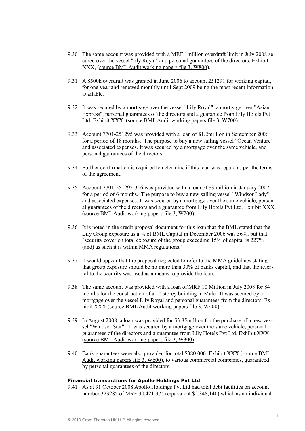- 9.30 The same account was provided with a MRF 1million overdraft limit in July 2008 secured over the vessel "lily Royal" and personal guarantees of the directors. Exhibit XXX, (source BML Audit working papers file 3, W800).
- 9.31 A \$500k overdraft was granted in June 2006 to account 251291 for working capital, for one year and renewed monthly until Sept 2009 being the most recent information available.
- 9.32 It was secured by a mortgage over the vessel "Lily Royal", a mortgage over "Asian Express", personal guarantees of the directors and a guarantee from Lily Hotels Pvt Ltd. Exhibit XXX, (source BML Audit working papers file 3, W700)
- 9.33 Account 7701-251295 was provided with a loan of \$1.2million in September 2006 for a period of 18 months. The purpose to buy a new sailing vessel "Ocean Venture" and associated expenses. It was secured by a mortgage over the same vehicle, and personal guarantees of the directors.
- 9.34 Further confirmation is required to determine if this loan was repaid as per the terms of the agreement.
- 9.35 Account 7701-251295-316 was provided with a loan of \$3 million in January 2007 for a period of 6 months. The purpose to buy a new sailing vessel "Windsor Lady" and associated expenses. It was secured by a mortgage over the same vehicle, personal guarantees of the directors and a guarantee from Lily Hotels Pvt Ltd. Exhibit XXX, (source BML Audit working papers file 3, W200)
- 9.36 It is noted in the credit proposal document for this loan that the BML stated that the Lily Group exposure as a  $\%$  of BML Capital in December 2006 was 56%, but that "security cover on total exposure of the group exceeding 15% of capital is 227% (and) as such it is within MMA regulations."
- 9.37 It would appear that the proposal neglected to refer to the MMA guidelines stating that group exposure should be no more than 30% of banks capital, and that the referral to the security was used as a means to provide the loan.
- 9.38 The same account was provided with a loan of MRF 10 Million in July 2008 for 84 months for the construction of a 10 storey building in Male. It was secured by a mortgage over the vessel Lily Royal and personal guarantees from the directors. Exhibit XXX (source BML Audit working papers file 3, W400)
- 9.39 In August 2008, a loan was provided for \$3.85million for the purchase of a new vessel "Windsor Star". It was secured by a mortgage over the same vehicle, personal guarantees of the directors and a guarantee from Lily Hotels Pvt Ltd. Exhibit XXX (source BML Audit working papers file 3, W300)
- 9.40 Bank guarantees were also provided for total \$380,000, Exhibit XXX (source BML) Audit working papers file 3, W600), to various commercial companies, guaranteed by personal guarantees of the directors.

#### Financial transactions for Apollo Holdings Pvt Ltd

9.41 As at 31 October 2008 Apollo Holdings Pvt Ltd had total debt facilities on account number 323285 of MRF 30,421,375 (equivalent \$2,348,140) which as an individual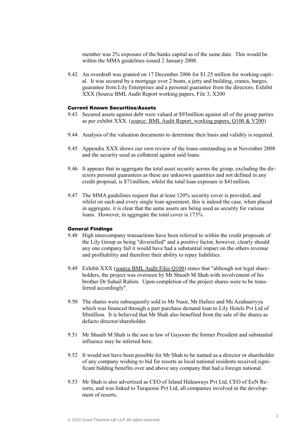member was 2% exposure of the banks capital as of the same date. This would be within the MMA guidelines issued 2 January 2008.

9.42 An overdraft was granted on 17 December 2006 for \$1.25 million for working capital. It was secured by a mortgage over 2 boats, a jetty and building, cranes, barges, guarantee from Lily Enterprises and a personal guarantee from the directors. Exhibit XXX (Source BML Audit Report working papers, File 3, X200

### Current Known Securities/Assets

- 9.43 Secured assets against debt were valued at \$93million against all of the group parties as per exhibit XXX. (source: BML Audit Report, working papers, Q100 & V200)
- 9.44 Analysis of the valuation documents to determine their basis and validity is required.
- 9.45 Appendix XXX shows our own review of the loans outstanding as at November 2008 and the security used as collateral against said loans.
- 9.46 It appears that in aggregate the total asset security across the group, excluding the directors personal guarantees as these are unknown quantities and not defined in any credit proposal, is \$71million, whilst the total loan exposure is \$41million.
- 9.47 The MMA guidelines request that at least 120% security cover is provided, and whilst on each and every single loan agreement, this is indeed the case, when placed in aggregate, it is clear that the same assets are being used as security for various loans. However, in aggregate the total cover is 173%.

## General Findings

- 9.48 High intercompany transactions have been referred to within the credit proposals of the Lily Group as being "diversified" and a positive factor, however, clearly should any one company fail it would have had a substantial impact on the others revenue and profitability and therefore their ability to repay liabilities.
- 9.49 Exhibit XXX (source BML Audit Files Q100) states that "although not legal shareholders, the project was overseen by Mr Shuaib M Shah with involvement of his brother Dr Suhail Rahim. Upon completion of the project shares were to be transferred accordingly".
- 9.50 The shares were subsequently sold to Mr Nasir, Mr Hafeez and Ms Azuhaariyya which was financed through a part purchase demand loan to Lily Hotels Pvt Ltd of \$8million. It is believed that Mr Shah also benefited from the sale of the shares as defacto director/shareholder.
- 9.51 Mr Shuaib M Shah is the son in law of Gayoom the former President and substantial influence may be inferred here.
- 9.52 It would not have been possible for Mr Shah to be named as a director or shareholder of any company wishing to bid for resorts as local national residents received significant bidding benefits over and above any company that had a foreign national.
- 9.53 Mr Shah is also advertised as CEO of Island Hideaways Pvt Ltd, CEO of EoN Resorts, and was linked to Turquoise Pvt Ltd, all companies involved in the development of resorts.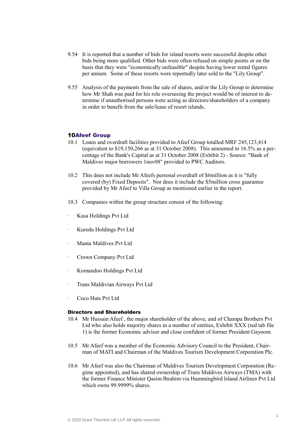- 9.54 It is reported that a number of bids for island resorts were successful despite other bids being more qualified. Other bids were often refused on simple points or on the basis that they were "economically unfeasible" despite having lower rental figures per annum. Some of these resorts were reportedly later sold to the "Lily Group".
- 9.55 Analysis of the payments from the sale of shares, and/or the Lily Group to determine how Mr Shah was paid for his role overseeing the project would be of interest to determine if unauthorised persons were acting as directors/shareholders of a company in order to benefit from the sale/lease of resort islands.

#### 10Afeef Group

- 10.1 Loans and overdraft facilities provided to Afeef Group totalled MRF 245,123,414 (equivalent to \$19,150,266 as at 31 October 2008). This amounted to 16.5% as a percentage of the Bank's Capital as at 31 October 2008 (Exhibit 2) - Source: "Bank of Maldives major borrowers 1nov08" provided to PWC Auditors.
- 10.2 This does not include Mr Afeefs personal overdraft of \$6million as it is "fully covered (by) Fixed Deposits". Nor does it include the \$5million cross guarantee provided by Mr Afeef to Villa Group as mentioned earlier in the report.
- 10.3 Companies within the group structure consist of the following:
- Kasa Holdings Pvt Ltd
- Kuredu Holdings Pvt Ltd
- Manta Maldives Pyt Ltd
- Crown Company Pvt Ltd
- · Komandoo Holdings Pvt Ltd
- · Trans Maldivian Airways Pvt Ltd
- · Coco Huts Pvt Ltd

## Directors and Shareholders

- 10.4 Mr Hussain Afeef , the major shareholder of the above, and of Champa Brothers Pvt Ltd who also holds majority shares in a number of entities, Exhibit XXX (red tab file 1) is the former Economic advisor and close confident of former President Gayoom.
- 10.5 Mr Afeef was a member of the Economic Advisory Council to the President, Chairman of MATI and Chairman of the Maldives Tourism Development Corporation Plc.
- 10.6 Mr Afeef was also the Chairman of Maldives Tourism Development Corporation (Regime appointed), and has shared ownership of Trans Maldives Airways (TMA) with the former Finance Minister Qasim Ibrahim via Hummingbird Island Airlines Pvt Ltd which owns 99.9999% shares.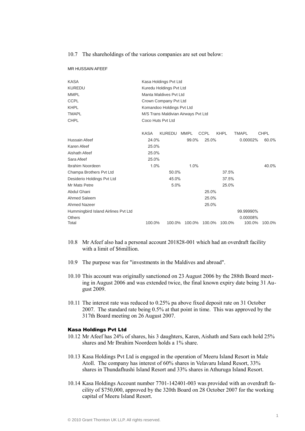10.7 The shareholdings of the various companies are set out below:

MR HUSSAIN AFEEF

| <b>KASA</b>                         |                         | Kasa Holdings Pvt Ltd               |             |             |             |              |             |  |  |  |
|-------------------------------------|-------------------------|-------------------------------------|-------------|-------------|-------------|--------------|-------------|--|--|--|
| <b>KUREDU</b>                       | Kuredu Holdings Pvt Ltd |                                     |             |             |             |              |             |  |  |  |
| <b>MMPL</b>                         | Manta Maldives Pyt Ltd  |                                     |             |             |             |              |             |  |  |  |
| <b>CCPL</b>                         | Crown Company Pvt Ltd   |                                     |             |             |             |              |             |  |  |  |
| <b>KHPL</b>                         |                         | Komandoo Holdings Pvt Ltd           |             |             |             |              |             |  |  |  |
| <b>TMAPL</b>                        |                         | M/S Trans Maldivian Airways Pvt Ltd |             |             |             |              |             |  |  |  |
| <b>CHPL</b>                         |                         | Coco Huts Pvt Ltd                   |             |             |             |              |             |  |  |  |
|                                     | <b>KASA</b>             | <b>KUREDU</b>                       | <b>MMPL</b> | <b>CCPL</b> | <b>KHPL</b> | <b>TMAPL</b> | <b>CHPL</b> |  |  |  |
| Hussain Afeef                       | 24.0%                   |                                     | 99.0%       | 25.0%       |             | 0.00002%     | 60.0%       |  |  |  |
| Karen Afeef                         | 25.0%                   |                                     |             |             |             |              |             |  |  |  |
| Aishath Afeef                       | 25.0%                   |                                     |             |             |             |              |             |  |  |  |
| Sara Afeef                          | 25.0%                   |                                     |             |             |             |              |             |  |  |  |
| Ibrahim Noordeen                    | 1.0%                    |                                     | 1.0%        |             |             |              | 40.0%       |  |  |  |
| Champa Brothers Pvt Ltd             |                         | 50.0%                               |             |             | 37.5%       |              |             |  |  |  |
| Desiderio Holdings Pvt Ltd          |                         | 45.0%                               |             |             | 37.5%       |              |             |  |  |  |
| Mr Mats Petre                       |                         | 5.0%                                |             |             | 25.0%       |              |             |  |  |  |
| Abdul Ghani                         |                         |                                     |             | 25.0%       |             |              |             |  |  |  |
| Ahmed Saleem                        |                         |                                     |             | 25.0%       |             |              |             |  |  |  |
| Ahmed Nazeer                        |                         |                                     |             | 25.0%       |             |              |             |  |  |  |
| Hummingbird Island Airlines Pvt Ltd |                         |                                     |             |             |             | 99.99990%    |             |  |  |  |
| Others                              |                         |                                     |             |             |             | 0.00008%     |             |  |  |  |
| Total                               | 100.0%                  | 100.0%                              | 100.0%      | 100.0%      | 100.0%      | 100.0%       | 100.0%      |  |  |  |

- 10.8 Mr Afeef also had a personal account 201828-001 which had an overdraft facility with a limit of \$6million.
- 10.9 The purpose was for "investments in the Maldives and abroad".
- 10.10 This account was originally sanctioned on 23 August 2006 by the 288th Board meeting in August 2006 and was extended twice, the final known expiry date being 31 August 2009.
- 10.11 The interest rate was reduced to 0.25% pa above fixed deposit rate on 31 October 2007. The standard rate being 0.5% at that point in time. This was approved by the 317th Board meeting on 26 August 2007.

#### Kasa Holdings Pvt Ltd

- 10.12 Mr Afeef has 24% of shares, his 3 daughters, Karen, Aishath and Sara each hold 25% shares and Mr Ibrahim Noordeen holds a 1% share
- 10.13 Kasa Holdings Pvt Ltd is engaged in the operation of Meeru Island Resort in Male Atoll. The company has interest of 60% shares in Velavaru Island Resort, 33% shares in Thundafhushi Island Resort and 33% shares in Athuruga Island Resort.
- 10.14 Kasa Holdings Account number 7701-142401-003 was provided with an overdraft facility of \$750,000, approved by the 320th Board on 28 October 2007 for the working capital of Meeru Island Resort.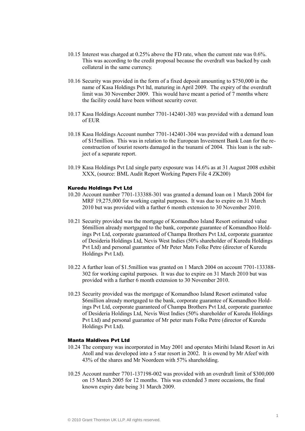- 10.15 Interest was charged at 0.25% above the FD rate, when the current rate was 0.6%. This was according to the credit proposal because the overdraft was backed by cash collateral in the same currency.
- 10.16 Security was provided in the form of a fixed deposit amounting to \$750,000 in the name of Kasa Holdings Pvt ltd, maturing in April 2009. The expiry of the overdraft limit was 30 November 2009. This would have meant a period of 7 months where the facility could have been without security cover.
- 10.17 Kasa Holdings Account number 7701-142401-303 was provided with a demand loan of EUR
- 10.18 Kasa Holdings Account number 7701-142401-304 was provided with a demand loan of \$15million. This was in relation to the European Investment Bank Loan for the reconstruction of tourist resorts damaged in the tsunami of 2004. This loan is the subject of a separate report.
- 10.19 Kasa Holdings Pvt Ltd single party exposure was 14.6% as at 31 August 2008 exhibit XXX, (source: BML Audit Report Working Papers File 4 ZK200)

#### Kuredu Holdings Pvt Ltd

- 10.20 Account number 7701-133388-301 was granted a demand loan on 1 March 2004 for MRF 19,275,000 for working capital purposes. It was due to expire on 31 March 2010 but was provided with a further 6 month extension to 30 November 2010.
- 10.21 Security provided was the mortgage of Komandhoo Island Resort estimated value \$6million already mortgaged to the bank, corporate guarantee of Komandhoo Holdings Pvt Ltd, corporate guaranteed of Champa Brothers Pvt Ltd, corporate guarantee of Desideria Holdings Ltd, Nevis West Indies (50% shareholder of Kuredu Holdings Pvt Ltd) and personal guarantee of Mr Peter Mats Folke Petre (director of Kuredu Holdings Pvt Ltd).
- 10.22 A further loan of \$1.5million was granted on 1 March 2004 on account 7701-133388- 302 for working capital purposes. It was due to expire on 31 March 2010 but was provided with a further 6 month extension to 30 November 2010.
- 10.23 Security provided was the mortgage of Komandhoo Island Resort estimated value \$6million already mortgaged to the bank, corporate guarantee of Komandhoo Holdings Pvt Ltd, corporate guaranteed of Champa Brothers Pvt Ltd, corporate guarantee of Desideria Holdings Ltd, Nevis West Indies (50% shareholder of Kuredu Holdings Pvt Ltd) and personal guarantee of Mr peter mats Folke Petre (director of Kuredu Holdings Pvt Ltd).

## Manta Maldives Pvt Ltd

- 10.24 The company was incorporated in May 2001 and operates Mirihi Island Resort in Ari Atoll and was developed into a 5 star resort in 2002. It is owend by Mr Afeef with 43% of the shares and Mr Noordeen with 57% shareholding.
- 10.25 Account number 7701-137198-002 was provided with an overdraft limit of \$300,000 on 15 March 2005 for 12 months. This was extended 3 more occasions, the final known expiry date being 31 March 2009.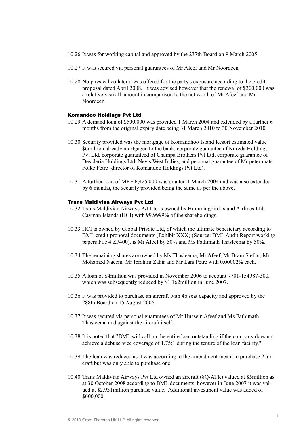- 10.26 It was for working capital and approved by the 237th Board on 9 March 2005.
- 10.27 It was secured via personal guarantees of Mr Afeef and Mr Noordeen.
- 10.28 No physical collateral was offered for the party's exposure according to the credit proposal dated April 2008. It was advised however that the renewal of \$300,000 was a relatively small amount in comparison to the net worth of Mr Afeef and Mr Noordeen.

## Komandoo Holdings Pvt Ltd

- 10.29 A demand loan of \$500,000 was provided 1 March 2004 and extended by a further 6 months from the original expiry date being 31 March 2010 to 30 November 2010.
- 10.30 Security provided was the mortgage of Komandhoo Island Resort estimated value \$6million already mortgaged to the bank, corporate guarantee of Kureda Holdings Pvt Ltd, corporate guaranteed of Champa Brothers Pvt Ltd, corporate guarantee of Desideria Holdings Ltd, Nevis West Indies, and personal guarantee of Mr peter mats Folke Petre (director of Komandoo Holdings Pvt Ltd).
- 10.31 A further loan of MRF 6,425,000 was granted 1 March 2004 and was also extended by 6 months, the security provided being the same as per the above.

#### Trans Maldivian Airways Pvt Ltd

- 10.32 Trans Maldivian Airways Pvt Ltd is owned by Hummingbird Island Airlines Ltd, Cayman Islands (HCI) with 99.9999% of the shareholdings.
- 10.33 HCI is owned by Global Private Ltd, of which the ultimate beneficiary according to BML credit proposal documents (Exhibit XXX) (Source: BML Audit Report working papers File 4 ZP400). is Mr Afeef by 50% and Ms Fathimath Thasleema by 50%.
- 10.34 The remaining shares are owned by Ms Thasleema, Mr Afeef, Mr Bram Stellar, Mr Mohamed Naeem, Mr Ibrahim Zahir and Mr Lars Petre with 0.00002% each.
- 10.35 A loan of \$4million was provided in November 2006 to account 7701-154987-300, which was subsequently reduced by \$1.162million in June 2007.
- 10.36 It was provided to purchase an aircraft with 46 seat capacity and approved by the 288th Board on 15 August 2006.
- 10.37 It was secured via personal guarantees of Mr Hussein Afeef and Ms Fathimath Thasleema and against the aircraft itself.
- 10.38 It is noted that "BML will call on the entire loan outstanding if the company does not achieve a debt service coverage of 1.75:1 during the tenure of the loan facility."
- 10.39 The loan was reduced as it was according to the amendment meant to purchase 2 aircraft but was only able to purchase one.
- 10.40 Trans Maldivian Airways Pvt Ltd owned an aircraft (8Q-ATR) valued at \$5million as at 30 October 2008 according to BML documents, however in June 2007 it was valued at \$2.931million purchase value. Additional investment value was added of \$600,000.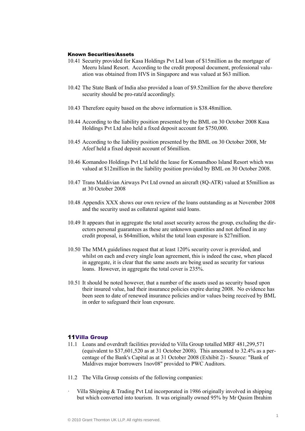#### Known Securities/Assets

- 10.41 Security provided for Kasa Holdings Pvt Ltd loan of \$15million as the mortgage of Meeru Island Resort. According to the credit proposal document, professional valuation was obtained from HVS in Singapore and was valued at \$63 million.
- 10.42 The State Bank of India also provided a loan of \$9.52million for the above therefore security should be pro-rata'd accordingly.
- 10.43 Therefore equity based on the above information is \$38.48million.
- 10.44 According to the liability position presented by the BML on 30 October 2008 Kasa Holdings Pvt Ltd also held a fixed deposit account for \$750,000.
- 10.45 According to the liability position presented by the BML on 30 October 2008, Mr Afeef held a fixed deposit account of \$6million.
- 10.46 Komandoo Holdings Pvt Ltd held the lease for Komandhoo Island Resort which was valued at \$12million in the liability position provided by BML on 30 October 2008.
- 10.47 Trans Maldivian Airways Pvt Ltd owned an aircraft (8Q-ATR) valued at \$5million as at 30 October 2008
- 10.48 Appendix XXX shows our own review of the loans outstanding as at November 2008 and the security used as collateral against said loans.
- 10.49 It appears that in aggregate the total asset security across the group, excluding the directors personal guarantees as these are unknown quantities and not defined in any credit proposal, is \$64million, whilst the total loan exposure is \$27million.
- 10.50 The MMA guidelines request that at least 120% security cover is provided, and whilst on each and every single loan agreement, this is indeed the case, when placed in aggregate, it is clear that the same assets are being used as security for various loans. However, in aggregate the total cover is 235%.
- 10.51 It should be noted however, that a number of the assets used as security based upon their insured value, had their insurance policies expire during 2008. No evidence has been seen to date of renewed insurance policies and/or values being received by BML in order to safeguard their loan exposure.

## 11Villa Group

- 11.1 Loans and overdraft facilities provided to Villa Group totalled MRF 481,299,571 (equivalent to \$37,601,520 as at 31 October 2008). This amounted to 32.4% as a percentage of the Bank's Capital as at 31 October 2008 (Exhibit 2) - Source: "Bank of Maldives major borrowers 1nov08" provided to PWC Auditors.
- 11.2 The Villa Group consists of the following companies:
- Villa Shipping & Trading Pvt Ltd incorporated in 1986 originally involved in shipping but which converted into tourism. It was originally owned 95% by Mr Qasim Ibrahim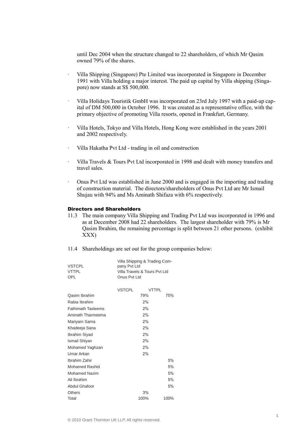until Dec 2004 when the structure changed to 22 shareholders, of which Mr Qasim owned 79% of the shares.

- · Villa Shipping (Singapore) Pte Limited was incorporated in Singapore in December 1991 with Villa holding a major interest. The paid up capital by Villa shipping (Singapore) now stands at S\$ 500,000.
- · Villa Holidays Touristik GmbH was incorporated on 23rd July 1997 with a paid-up capital of DM 500,000 in October 1996. It was created as a representative office, with the primary objective of promoting Villa resorts, opened in Frankfurt, Germany.
- · Villa Hotels, Tokyo and Villa Hotels, Hong Kong were established in the years 2001 and 2002 respectively.
- · Villa Hakatha Pvt Ltd trading in oil and construction
- · Villa Travels & Tours Pvt Ltd incorporated in 1998 and dealt with money transfers and travel sales.
- · Onus Pvt Ltd was established in June 2000 and is engaged in the importing and trading of construction material. The directors/shareholders of Onus Pvt Ltd are Mr Ismail Shujau with 94% and Ms Aminath Shifaza with 6% respectively.

## Directors and Shareholders

- 11.3 The main company Villa Shipping and Trading Pvt Ltd was incorporated in 1996 and as at December 2008 had 22 shareholders. The largest shareholder with 79% is Mr Qasim Ibrahim, the remaining percentage is split between 21 other persons. (exhibit XXX)
- 11.4 Shareholdings are set out for the group companies below:

|               | Villa Shipping & Trading Com- |
|---------------|-------------------------------|
| <b>VSTCPL</b> | pany Pyt Ltd                  |
| <b>VTTPI</b>  | Villa Travels & Tours Pyt Ltd |
| OPI           | Onus Pyt Ltd                  |

|                           | <b>VSTCPL</b> | VTTPI |      |
|---------------------------|---------------|-------|------|
| <b>Oasim Ibrahim</b>      |               | 79%   | 75%  |
| Rabia Ibrahim             |               | 2%    |      |
| <b>Fathimath Tasleems</b> |               | 2%    |      |
| Aminath Tharmeema         |               | 2%    |      |
| Mariyam Sama              |               | 2%    |      |
| Khadeeja Sana             |               | 2%    |      |
| Ibrahim Siyad             |               | 2%    |      |
| Ismail Shiyan             |               | 2%    |      |
| Mohamed Yaghzan           |               | 2%    |      |
| Umar Arkan                |               | 2%    |      |
| Ibrahim Zahir             |               |       | 5%   |
| <b>Mohamed Rashid</b>     |               |       | 5%   |
| <b>Mohamed Nazim</b>      |               |       | 5%   |
| Ali Ibrahim               |               |       | 5%   |
| <b>Abdul Ghafoor</b>      |               |       | 5%   |
| <b>Others</b>             |               | 3%    |      |
| Total                     |               | 100%  | 100% |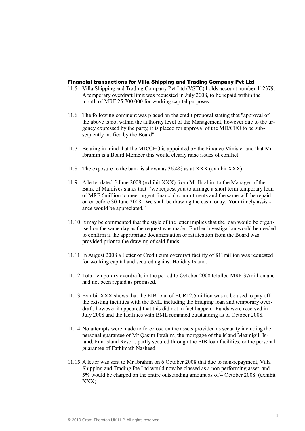#### Financial transactions for Villa Shipping and Trading Company Pvt Ltd

- 11.5 Villa Shipping and Trading Company Pvt Ltd (VSTC) holds account number 112379. A temporary overdraft limit was requested in July 2008, to be repaid within the month of MRF 25,700,000 for working capital purposes.
- 11.6 The following comment was placed on the credit proposal stating that "approval of the above is not within the authority level of the Management, however due to the urgency expressed by the party, it is placed for approval of the MD/CEO to be subsequently ratified by the Board".
- 11.7 Bearing in mind that the MD/CEO is appointed by the Finance Minister and that Mr Ibrahim is a Board Member this would clearly raise issues of conflict.
- 11.8 The exposure to the bank is shown as 36.4% as at XXX (exhibit XXX).
- 11.9 A letter dated 5 June 2008 (exhibit XXX) from Mr Ibrahim to the Manager of the Bank of Maldives states that "we request you to arrange a short term temporary loan of MRF 6million to meet urgent financial commitments and the same will be repaid on or before 30 June 2008. We shall be drawing the cash today. Your timely assistance would be appreciated."
- 11.10 It may be commented that the style of the letter implies that the loan would be organised on the same day as the request was made. Further investigation would be needed to confirm if the appropriate documentation or ratification from the Board was provided prior to the drawing of said funds.
- 11.11 In August 2008 a Letter of Credit cum overdraft facility of \$11million was requested for working capital and secured against Holiday Island.
- 11.12 Total temporary overdrafts in the period to October 2008 totalled MRF 37million and had not been repaid as promised.
- 11.13 Exhibit XXX shows that the EIB loan of EUR12.5million was to be used to pay off the existing facilities with the BML including the bridging loan and temporary overdraft, however it appeared that this did not in fact happen. Funds were received in July 2008 and the facilities with BML remained outstanding as of October 2008.
- 11.14 No attempts were made to foreclose on the assets provided as security including the personal guarantee of Mr Qasim Ibrahim, the mortgage of the island Maamigili Island, Fun Island Resort, partly secured through the EIB loan facilities, or the personal guarantee of Fathimath Nasheed.
- 11.15 A letter was sent to Mr Ibrahim on 6 October 2008 that due to non-repayment, Villa Shipping and Trading Pte Ltd would now be classed as a non performing asset, and 5% would be charged on the entire outstanding amount as of 4 October 2008. (exhibit XXX)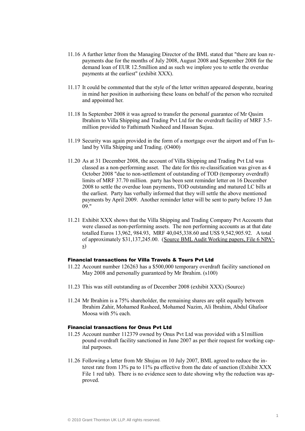- 11.16 A further letter from the Managing Director of the BML stated that "there are loan repayments due for the months of July 2008, August 2008 and September 2008 for the demand loan of EUR 12.5million and as such we implore you to settle the overdue payments at the earliest" (exhibit XXX).
- 11.17 It could be commented that the style of the letter written appeared desperate, bearing in mind her position in authorising these loans on behalf of the person who recruited and appointed her.
- 11.18 In September 2008 it was agreed to transfer the personal guarantee of Mr Qasim Ibrahim to Villa Shipping and Trading Pvt Ltd for the overdraft facility of MRF 3.5 million provided to Fathimath Nasheed and Hassan Sujau.
- 11.19 Security was again provided in the form of a mortgage over the airport and of Fun Island by Villa Shipping and Trading. (O400)
- 11.20 As at 31 December 2008, the account of Villa Shipping and Trading Pvt Ltd was classed as a non-performing asset. The date for this re-classification was given as 4 October 2008 "due to non-settlement of outstanding of TOD (temporary overdraft) limits of MRF 37.70 million. party has been sent reminder letter on 16 December 2008 to settle the overdue loan payments, TOD outstanding and matured LC bills at the earliest. Party has verbally informed that they will settle the above mentioned payments by April 2009. Another reminder letter will be sent to party before 15 Jan  $09"$
- 11.21 Exhibit XXX shows that the Villa Shipping and Trading Company Pvt Accounts that were classed as non-performing assets. The non performing accounts as at that date totalled Euros 13,962, 984.93, MRF 40,045,338.60 and US\$ 9,542,905.92. A total of approximately \$31,137,245.00. (Source BML Audit Working papers, File 6 NPA' s)

## Financial transactions for Villa Travels & Tours Pvt Ltd

- 11.22 Account number 126263 has a \$500,000 temporary overdraft facility sanctioned on May 2008 and personally guaranteed by Mr Ibrahim. (s100)
- 11.23 This was still outstanding as of December 2008 (exhibit XXX) (Source)
- 11.24 Mr Ibrahim is a 75% shareholder, the remaining shares are split equally between Ibrahim Zahir, Mohamed Rasheed, Mohamed Nazim, Ali Ibrahim, Abdul Ghafoor Moosa with 5% each.

# Financial transactions for Onus Pvt Ltd

- 11.25 Account number 112379 owned by Onus Pvt Ltd was provided with a \$1million pound overdraft facility sanctioned in June 2007 as per their request for working capital purposes.
- 11.26 Following a letter from Mr Shujau on 10 July 2007, BML agreed to reduce the interest rate from 13% pa to 11% pa effective from the date of sanction (Exhibit XXX File 1 red tab). There is no evidence seen to date showing why the reduction was approved.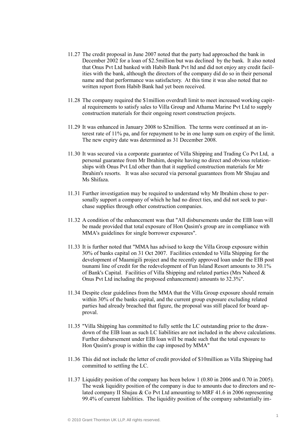- 11.27 The credit proposal in June 2007 noted that the party had approached the bank in December 2002 for a loan of \$2.5million but was declined by the bank. It also noted that Onus Pvt Ltd banked with Habib Bank Pvt ltd and did not enjoy any credit facilities with the bank, although the directors of the company did do so in their personal name and that performance was satisfactory. At this time it was also noted that no written report from Habib Bank had yet been received.
- 11.28 The company required the \$1million overdraft limit to meet increased working capital requirements to satisfy sales to Villa Group and Athama Marine Pvt Ltd to supply construction materials for their ongoing resort construction projects.
- 11.29 It was enhanced in January 2008 to \$2million. The terms were continued at an interest rate of 11% pa, and for repayment to be in one lump sum on expiry of the limit. The new expiry date was determined as 31 December 2008.
- 11.30 It was secured via a corporate guarantee of Villa Shipping and Trading Co Pvt Ltd, a personal guarantee from Mr Ibrahim, despite having no direct and obvious relationships with Onus Pvt Ltd other than that it supplied construction materials for Mr Ibrahim's resorts. It was also secured via personal guarantees from Mr Shujau and Ms Shifaza.
- 11.31 Further investigation may be required to understand why Mr Ibrahim chose to personally support a company of which he had no direct ties, and did not seek to purchase supplies through other construction companies.
- 11.32 A condition of the enhancement was that "All disbursements under the EIB loan will be made provided that total exposure of Hon Qasim's group are in compliance with MMA's guidelines for single borrower exposures".
- 11.33 It is further noted that "MMA has advised to keep the Villa Group exposure within 30% of banks capital on 31 Oct 2007. Facilities extended to Villa Shipping for the development of Maamigili project and the recently approved loan under the EIB post tsunami line of credit for the redevelopment of Fun Island Resort amounts to 30.1% of Bank's Capital. Facilities of Villa Shipping and related parties (Mrs Naheed  $\&$ Onus Pvt Ltd including the proposed enhancement) amounts to 32.3%".
- 11.34 Despite clear guidelines from the MMA that the Villa Group exposure should remain within 30% of the banks capital, and the current group exposure excluding related parties had already breached that figure, the proposal was still placed for board approval.
- 11.35 "Villa Shipping has committed to fully settle the LC outstanding prior to the drawdown of the EIB loan as such LC liabilities are not included in the above calculations. Further disbursement under EIB loan will be made such that the total exposure to Hon Qasim's group is within the cap imposed by MMA"
- 11.36 This did not include the letter of credit provided of \$10million as Villa Shipping had committed to settling the LC.
- 11.37 Liquidity position of the company has been below 1 (0.80 in 2006 and 0.70 in 2005). The weak liquidity position of the company is due to amounts due to directors and related company II Shujau & Co Pvt Ltd amounting to MRF 41.6 in 2006 representing 99.4% of current liabilities. The liquidity position of the company substantially im-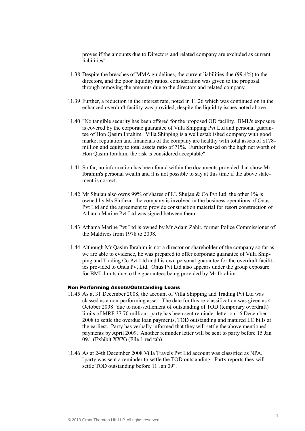proves if the amounts due to Directors and related company are excluded as current liabilities".

- 11.38 Despite the breaches of MMA guidelines, the current liabilities due (99.4%) to the directors, and the poor liquidity ratios, consideration was given to the proposal through removing the amounts due to the directors and related company.
- 11.39 Further, a reduction in the interest rate, noted in 11.26 which was continued on in the enhanced overdraft facility was provided, despite the liquidity issues noted above.
- 11.40 "No tangible security has been offered for the proposed OD facility. BML's exposure is covered by the corporate guarantee of Villa Shipping Pvt Ltd and personal guarantee of Hon Qasim Ibrahim. Villa Shipping is a well established company with good market reputation and financials of the company are healthy with total assets of \$178 million and equity to total assets ratio of 71%. Further based on the high net worth of Hon Qasim Ibrahim, the risk is considered acceptable".
- 11.41 So far, no information has been found within the documents provided that show Mr Ibrahim's personal wealth and it is not possible to say at this time if the above statement is correct.
- 11.42 Mr Shujau also owns 99% of shares of I.I. Shujau & Co Pvt Ltd, the other 1% is owned by Ms Shifaza. the company is involved in the business operations of Onus Pvt Ltd and the agreement to provide construction material for resort construction of Athama Marine Pvt Ltd was signed between them.
- 11.43 Athama Marine Pvt Ltd is owned by Mr Adam Zahir, former Police Commissioner of the Maldives from 1978 to 2008.
- 11.44 Although Mr Qasim Ibrahim is not a director or shareholder of the company so far as we are able to evidence, he was prepared to offer corporate guarantee of Villa Shipping and Trading Co Pvt Ltd and his own personal guarantee for the overdraft facilities provided to Onus Pvt Ltd. Onus Pvt Ltd also appears under the group exposure for BML limits due to the guarantees being provided by Mr Ibrahim.

#### Non Performing Assets/Outstanding Loans

- 11.45 As at 31 December 2008, the account of Villa Shipping and Trading Pvt Ltd was classed as a non-performing asset. The date for this re-classification was given as 4 October 2008 "due to non-settlement of outstanding of TOD (temporary overdraft) limits of MRF 37.70 million. party has been sent reminder letter on 16 December 2008 to settle the overdue loan payments, TOD outstanding and matured LC bills at the earliest. Party has verbally informed that they will settle the above mentioned payments by April 2009. Another reminder letter will be sent to party before 15 Jan 09." (Exhibit XXX) (File 1 red tab)
- 11.46 As at 24th December 2008 Villa Travels Pvt Ltd account was classified as NPA. "party was sent a reminder to settle the TOD outstanding. Party reports they will settle TOD outstanding before 11 Jan 09".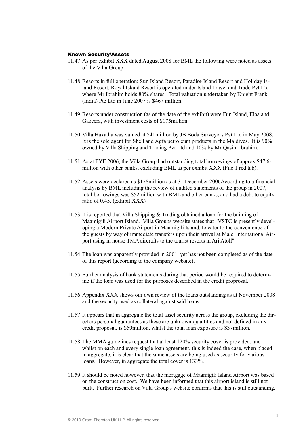#### Known Security/Assets

- 11.47 As per exhibit XXX dated August 2008 for BML the following were noted as assets of the Villa Group
- 11.48 Resorts in full operation; Sun Island Resort, Paradise Island Resort and Holiday Island Resort, Royal Island Resort is operated under Island Travel and Trade Pvt Ltd where Mr Ibrahim holds 80% shares. Total valuation undertaken by Knight Frank (India) Pte Ltd in June 2007 is \$467 million.
- 11.49 Resorts under construction (as of the date of the exhibit) were Fun Island, Elaa and Gazeera, with investment costs of \$175million.
- 11.50 Villa Hakatha was valued at \$41million by JB Boda Surveyors Pvt Ltd in May 2008. It is the sole agent for Shell and Agfa petroleum products in the Maldives. It is 90% owned by Villa Shipping and Trading Pvt Ltd and 10% by Mr Qasim Ibrahim.
- 11.51 As at FYE 2006, the Villa Group had outstanding total borrowings of approx \$47.6 million with other banks, excluding BML as per exhibit XXX (File 1 red tab).
- 11.52 Assets were declared as \$178million as at 31 December 2006According to a financial analysis by BML including the review of audited statements of the group in 2007, total borrowings was \$52million with BML and other banks, and had a debt to equity ratio of 0.45. (exhibit XXX)
- 11.53 It is reported that Villa Shipping & Trading obtained a loan for the building of Maamigili Airport Island. Villa Groups website states that "VSTC is presently developing a Modern Private Airport in Maamigili Island, to cater to the convenience of the guests by way of immediate transfers upon their arrival at Male' International Airport using in house TMA aircrafts to the tourist resorts in Ari Atoll".
- 11.54 The loan was apparently provided in 2001, yet has not been completed as of the date of this report (according to the company website).
- 11.55 Further analysis of bank statements during that period would be required to determine if the loan was used for the purposes described in the credit proprosal.
- 11.56 Appendix XXX shows our own review of the loans outstanding as at November 2008 and the security used as collateral against said loans.
- 11.57 It appears that in aggregate the total asset security across the group, excluding the directors personal guarantees as these are unknown quantities and not defined in any credit proposal, is \$50million, whilst the total loan exposure is \$37million.
- 11.58 The MMA guidelines request that at least 120% security cover is provided, and whilst on each and every single loan agreement, this is indeed the case, when placed in aggregate, it is clear that the same assets are being used as security for various loans. However, in aggregate the total cover is 133%.
- 11.59 It should be noted however, that the mortgage of Maamigili Island Airport was based on the construction cost. We have been informed that this airport island is still not built. Further research on Villa Group's website confirms that this is still outstanding.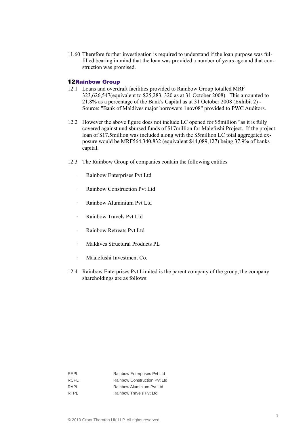11.60 Therefore further investigation is required to understand if the loan purpose was fulfilled bearing in mind that the loan was provided a number of years ago and that construction was promised.

## 12Rainbow Group

- 12.1 Loans and overdraft facilities provided to Rainbow Group totalled MRF 323,626,547(equivalent to \$25,283, 320 as at 31 October 2008). This amounted to 21.8% as a percentage of the Bank's Capital as at 31 October 2008 (Exhibit 2) - Source: "Bank of Maldives major borrowers 1nov08" provided to PWC Auditors.
- 12.2 However the above figure does not include LC opened for \$5million "as it is fully covered against undisbursed funds of \$17million for Malefushi Project. If the project loan of \$17.5million was included along with the \$5million LC total aggregated exposure would be MRF564,340,832 (equivalent \$44,089,127) being 37.9% of banks capital.
- 12.3 The Rainbow Group of companies contain the following entities
	- · Rainbow Enterprises Pvt Ltd
	- · Rainbow Construction Pvt Ltd
	- · Rainbow Aluminium Pvt Ltd
	- · Rainbow Travels Pvt Ltd
	- Rainbow Retreats Pvt Ltd
	- · Maldives Structural Products PL
	- · Maalefushi Investment Co.
- 12.4 Rainbow Enterprises Pvt Limited is the parent company of the group, the company shareholdings are as follows:

| RFPL | Rainbow Enterprises Pvt Ltd  |
|------|------------------------------|
| RCPL | Rainbow Construction Pyt Ltd |
| RAPI | Rainbow Aluminium Pyt Ltd    |
| RTPI | Rainbow Travels Pyt Ltd      |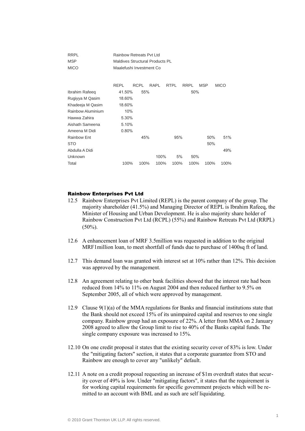| <b>RRPL</b><br><b>MSP</b><br><b>MICO</b> | Rainbow Retreats Pyt Ltd<br><b>Maldives Structural Products PL</b><br>Maalefushi Investment Co |             |      |             |             |            |             |  |  |
|------------------------------------------|------------------------------------------------------------------------------------------------|-------------|------|-------------|-------------|------------|-------------|--|--|
|                                          | RFPI                                                                                           | <b>RCPL</b> | RAPL | <b>RTPL</b> | <b>RRPL</b> | <b>MSP</b> | <b>MICO</b> |  |  |
| Ibrahim Rafeeq                           | 41.50%                                                                                         | 55%         |      |             | 50%         |            |             |  |  |
| Rugiyya M Qasim                          | 18.60%                                                                                         |             |      |             |             |            |             |  |  |
| Khadeeja M Qasim                         | 18.60%                                                                                         |             |      |             |             |            |             |  |  |
| Rainbow Aluminium                        | 10%                                                                                            |             |      |             |             |            |             |  |  |
| Hawwa Zahira                             | 5.30%                                                                                          |             |      |             |             |            |             |  |  |
| Aishath Sameena                          | 5.10%                                                                                          |             |      |             |             |            |             |  |  |
| Ameena M Didi                            | 0.80%                                                                                          |             |      |             |             |            |             |  |  |
| Rainbow Ent                              |                                                                                                | 45%         |      | 95%         |             | 50%        | 51%         |  |  |
| <b>STO</b>                               |                                                                                                |             |      |             |             | 50%        |             |  |  |
| Abdulla A Didi                           |                                                                                                |             |      |             |             |            | 49%         |  |  |
| Unknown                                  |                                                                                                |             | 100% | 5%          | 50%         |            |             |  |  |
| Total                                    | 100%                                                                                           | 100%        | 100% | 100%        | 100%        | 100%       | 100%        |  |  |

## Rainbow Enterprises Pvt Ltd

- 12.5 Rainbow Enterprises Pvt Limited (REPL) is the parent company of the group. The majority shareholder (41.5%) and Managing Director of REPL is Ibrahim Rafeeq, the Minister of Housing and Urban Development. He is also majority share holder of Rainbow Construction Pvt Ltd (RCPL) (55%) and Rainbow Retreats Pvt Ltd (RRPL)  $(50\%)$ .
- 12.6 A enhancement loan of MRF 3.5million was requested in addition to the original MRF1million loan, to meet shortfall of funds due to purchase of 1400sq ft of land.
- 12.7 This demand loan was granted with interest set at 10% rather than 12%. This decision was approved by the management.
- 12.8 An agreement relating to other bank facilities showed that the interest rate had been reduced from 14% to 11% on August 2004 and then reduced further to 9.5% on September 2005, all of which were approved by management.
- 12.9 Clause 9(1)(a) of the MMA regulations for Banks and financial institutions state that the Bank should not exceed 15% of its unimpaired capital and reserves to one single company. Rainbow group had an exposure of 22%. A letter from MMA on 2 January 2008 agreed to allow the Group limit to rise to 40% of the Banks capital funds. The single company exposure was increased to 15%.
- 12.10 On one credit proposal it states that the existing security cover of 83% is low. Under the "mitigating factors" section, it states that a corporate guarantee from STO and Rainbow are enough to cover any "unlikely" default.
- 12.11 A note on a credit proposal requesting an increase of \$1m overdraft states that security cover of 49% is low. Under "mitigating factors", it states that the requirement is for working capital requirements for specific government projects which will be remitted to an account with BML and as such are self liquidating.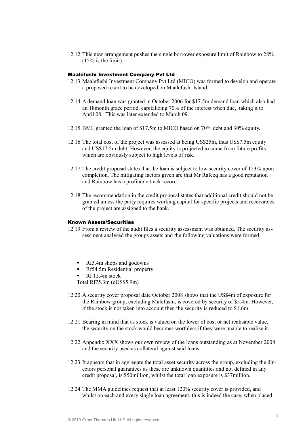12.12 This new arrangement pushes the single borrower exposure limit of Rainbow to 28%  $(15%$  is the limit).

#### Maalefushi Investment Company Pvt Ltd

- 12.13 Maalefushi Investment Company Pvt Ltd (MICO) was formed to develop and operate a proposed resort to be developed on Maalefushi Island.
- 12.14 A demand loan was granted in October 2006 for \$17.5m demand loan which also had an 18month grace period, capitalizing 70% of the interest when due, taking it to April 08. This was later extended to March 09.
- 12.15 BML granted the loan of \$17.5m to MICO based on 70% debt and 30% equity.
- 12.16 The total cost of the project was assessed at being US\$25m, thus US\$7.5m equity and US\$17.5m debt. However, the equity is projected to come from future profits which are obviously subject to high levels of risk.
- 12.17 The credit proposal states that the loan is subject to low security cover of 123% upon completion. The mitigating factors given are that Mr Rafeeq has a good reputation and Rainbow has a profitable track record.
- 12.18 The recommendation in the credit proposal states that additional credit should not be granted unless the party requires working capital for specific projects and receivables of the project are assigned to the bank.

## Known Assets/Securities

- 12.19 From a review of the audit files a security assessment was obtained. The security assessment analysed the groups assets and the following valuations were formed
	- Rf5.4m shops and godowns
	- Rf54.5m Residential property
	- $\blacksquare$  Rf 15.4m stock

Total Rf75.3m (cUS\$5.9m)

- 12.20 A security cover proposal date October 2008 shows that the US\$4m of exposure for the Rainbow group, excluding Malefushi, is covered by security of \$5.4m. However, if the stock is not taken into account then the security is reduced to \$1.6m.
- 12.21 Bearing in mind that as stock is valued on the lower of cost or net realisable value, the security on the stock would becomes worthless if they were unable to realise it.
- 12.22 Appendix XXX shows our own review of the loans outstanding as at November 2008 and the security used as collateral against said loans.
- 12.23 It appears that in aggregate the total asset security across the group, excluding the directors personal guarantees as these are unknown quantities and not defined in any credit proposal, is \$50million, whilst the total loan exposure is \$37million.
- 12.24 The MMA guidelines request that at least 120% security cover is provided, and whilst on each and every single loan agreement, this is indeed the case, when placed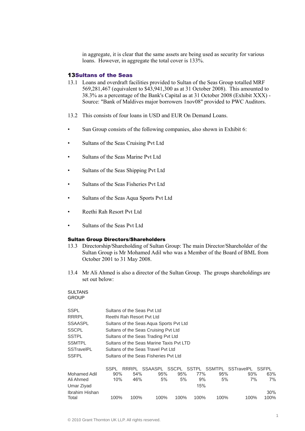in aggregate, it is clear that the same assets are being used as security for various loans. However, in aggregate the total cover is 133%.

## 13Sultans of the Seas

- 13.1 Loans and overdraft facilities provided to Sultan of the Seas Group totalled MRF 569,281,467 (equivalent to \$43,941,300 as at 31 October 2008). This amounted to 38.3% as a percentage of the Bank's Capital as at 31 October 2008 (Exhibit XXX) - Source: "Bank of Maldives major borrowers 1nov08" provided to PWC Auditors.
- 13.2 This consists of four loans in USD and EUR On Demand Loans.
- Sun Group consists of the following companies, also shown in Exhibit 6:
- Sultans of the Seas Cruising Pvt Ltd
- Sultans of the Seas Marine Pvt Ltd
- Sultans of the Seas Shipping Pvt Ltd
- Sultans of the Seas Fisheries Pvt Ltd
- Sultans of the Seas Aqua Sports Pvt Ltd
- Reethi Rah Resort Pvt Ltd
- Sultans of the Seas Pvt Ltd

## Sultan Group Directors/Shareholders

- 13.3 Directorship/Shareholding of Sultan Group: The main Director/Shareholder of the Sultan Group is Mr Mohamed Adil who was a Member of the Board of BML from October 2001 to 31 May 2008.
- 13.4 Mr Ali Ahmed is also a director of the Sultan Group. The groups shareholdings are set out below:

#### **SULTANS GROUP**

| <b>SSPL</b>         |      | Sultans of the Seas Pyt Ltd              |                                       |      |       |      |                         |        |  |  |  |  |
|---------------------|------|------------------------------------------|---------------------------------------|------|-------|------|-------------------------|--------|--|--|--|--|
| <b>RRRPL</b>        |      | Reethi Rah Resort Pyt Ltd                |                                       |      |       |      |                         |        |  |  |  |  |
| <b>SSAASPL</b>      |      | Sultans of the Seas Agua Sports Pvt Ltd  |                                       |      |       |      |                         |        |  |  |  |  |
| <b>SSCPL</b>        |      | Sultans of the Seas Cruising Pyt Ltd     |                                       |      |       |      |                         |        |  |  |  |  |
| <b>SSTPL</b>        |      | Sultans of the Seas Trading Pvt Ltd      |                                       |      |       |      |                         |        |  |  |  |  |
| <b>SSMTPL</b>       |      | Sultans of the Seas Marine Taxis Pyt LTD |                                       |      |       |      |                         |        |  |  |  |  |
| <b>SSTravelPL</b>   |      | Sultans of the Seas Travel Pyt Ltd       |                                       |      |       |      |                         |        |  |  |  |  |
| <b>SSFPL</b>        |      |                                          | Sultans of the Seas Fisheries Pyt Ltd |      |       |      |                         |        |  |  |  |  |
|                     |      |                                          |                                       |      |       |      |                         |        |  |  |  |  |
|                     | SSPL | RRRPL                                    | SSAASPL SSCPL                         |      | SSTPL |      | SSMTPL SSTravelPL SSFPL |        |  |  |  |  |
| <b>Mohamed Adil</b> | 90%  | 54%                                      | 95%                                   | 95%  | 77%   | 95%  | 93%                     | 63%    |  |  |  |  |
| Ali Ahmed           | 10%  | 46%                                      | 5%                                    | 5%   | 9%    | 5%   | 7%                      | 7%     |  |  |  |  |
| Umar Ziyad          |      |                                          |                                       |      | 15%   |      |                         |        |  |  |  |  |
| Ibrahim Hishan      |      |                                          |                                       |      |       |      |                         | $30\%$ |  |  |  |  |
| Total               | 100% | 100%                                     | 100%                                  | 100% | 100%  | 100% | 100%                    | 100%   |  |  |  |  |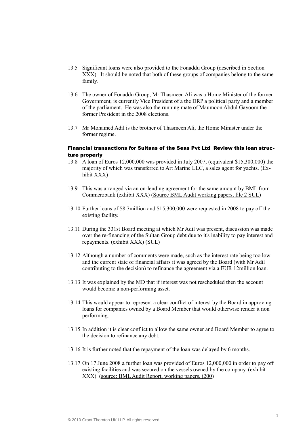- 13.5 Significant loans were also provided to the Fonaddu Group (described in Section XXX). It should be noted that both of these groups of companies belong to the same family.
- 13.6 The owner of Fonaddu Group, Mr Thasmeen Ali was a Home Minister of the former Government, is currently Vice President of a the DRP a political party and a member of the parliament. He was also the running mate of Maumoon Abdul Gayoom the former President in the 2008 elections.
- 13.7 Mr Mohamed Adil is the brother of Thasmeen Ali, the Home Minister under the former regime.

# Financial transactions for Sultans of the Seas Pvt Ltd Review this loan structure properly

- 13.8 A loan of Euros 12,000,000 was provided in July 2007, (equivalent \$15,300,000) the majority of which was transferred to Art Marine LLC, a sales agent for yachts. (Exhibit XXX)
- 13.9 This was arranged via an on-lending agreement for the same amount by BML from Commerzbank (exhibit XXX) (Source BML Audit working papers, file 2 SUL)
- 13.10 Further loans of \$8.7million and \$15,300,000 were requested in 2008 to pay off the existing facility.
- 13.11 During the 331st Board meeting at which Mr Adil was present, discussion was made over the re-financing of the Sultan Group debt due to it's inability to pay interest and repayments. (exhibit XXX) (SUL)
- 13.12 Although a number of comments were made, such as the interest rate being too low and the current state of financial affairs it was agreed by the Board (with Mr Adil contributing to the decision) to refinance the agreement via a EUR 12million loan.
- 13.13 It was explained by the MD that if interest was not rescheduled then the account would become a non-performing asset.
- 13.14 This would appear to represent a clear conflict of interest by the Board in approving loans for companies owned by a Board Member that would otherwise render it non performing.
- 13.15 In addition it is clear conflict to allow the same owner and Board Member to agree to the decision to refinance any debt.
- 13.16 It is further noted that the repayment of the loan was delayed by 6 months.
- 13.17 On 17 June 2008 a further loan was provided of Euros 12,000,000 in order to pay off existing facilities and was secured on the vessels owned by the company. (exhibit XXX). (source: BML Audit Report, working papers, j200)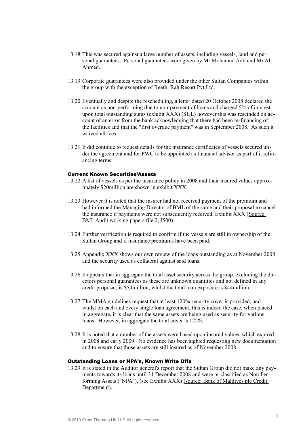- 13.18 This was secured against a large number of assets, including vessels, land and personal guarantees. Personal guarantees were given by Mr Mohamed Adil and Mr Ali Ahmed.
- 13.19 Corporate guarantees were also provided under the other Sultan Companies within the group with the exception of Reethi Rah Resort Pvt Ltd.
- 13.20 Eventually and despite the rescheduling, a letter dated 20 October 2008 declared the account as non-performing due to non-payment of loans and charged 5% of interest upon total outstanding sums (exhibit XXX) (SUL) however this was rescinded on account of an error from the bank acknowledging that there had been re-financing of the facilities and that the "first overdue payment" was in September 2008. As such it waived all fees.
- 13.21 It did continue to request details for the insurance certificates of vessels secured under the agreement and for PWC to be appointed as financial advisor as part of it refinancing terms.

#### Current Known Securities/Assets

- 13.22 A list of vessels as per the insurance policy in 2008 and their insured values approximately \$20million are shown in exhibit XXX.
- 13.23 However it is noted that the insurer had not received payment of the premium and had informed the Managing Director of BML of the same and their proposal to cancel the insurance if payments were not subsequently received. Exhibit XXX (Source BML Audit working papers file 2, J500)
- 13.24 Further verification is required to confirm if the vessels are still in ownership of the Sultan Group and if insurance premiums have been paid.
- 13.25 Appendix XXX shows our own review of the loans outstanding as at November 2008 and the security used as collateral against said loans.
- 13.26 It appears that in aggregate the total asset security across the group, excluding the directors personal guarantees as these are unknown quantities and not defined in any credit proposal, is \$54million, whilst the total loan exposure is \$44million.
- 13.27 The MMA guidelines request that at least 120% security cover is provided, and whilst on each and every single loan agreement, this is indeed the case, when placed in aggregate, it is clear that the same assets are being used as security for various loans. However, in aggregate the total cover is 122%.
- 13.28 It is noted that a number of the assets were based upon insured values, which expired in 2008 and early 2009. No evidence has been sighted requesting new documentation and to ensure that those assets are still insured as of November 2008.

# Outstanding Loans or NPA's, Known Write Offs

13.29 It is stated in the Auditor general's report that the Sultan Group did not make any payments towards its loans until 31 December 2008 and were re-classified as Non Performing Assets ("NPA"), (see Exhibit XXX) (source: Bank of Maldives plc Credit Department).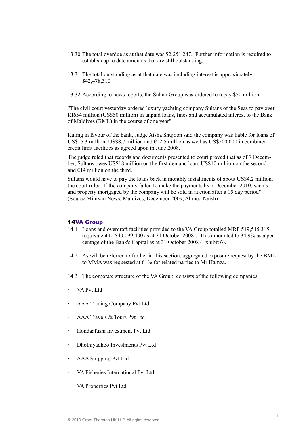- 13.30 The total overdue as at that date was \$2,251,247. Further information is required to establish up to date amounts that are still outstanding.
- 13.31 The total outstanding as at that date was including interest is approximately \$42,478,310
- 13.32 According to news reports, the Sultan Group was ordered to repay \$50 million:

"The civil court yesterday ordered luxury yachting company Sultans of the Seas to pay over Rf654 million (US\$50 million) in unpaid loans, fines and accumulated interest to the Bank of Maldives (BML) in the course of one year"

Ruling in favour of the bank, Judge Aisha Shujoon said the company was liable for loans of US\$15.3 million, US\$8.7 million and  $E$ 12.5 million as well as US\$500,000 in combined credit limit facilities as agreed upon in June 2008.

The judge ruled that records and documents presented to court proved that as of 7 December, Sultans owes US\$18 million on the first demand loan, US\$10 million on the second and  $E14$  million on the third.

Sultans would have to pay the loans back in monthly installments of about US\$4.2 million, the court ruled. If the company failed to make the payments by 7 December 2010, yachts and property mortgaged by the company will be sold in auction after a 15 day period" (Source Minivan News, Maldives, December 2009, Ahmed Naish)

## 14VA Group

- 14.1 Loans and overdraft facilities provided to the VA Group totalled MRF 519,515,315 (equivalent to \$40,099,400 as at 31 October 2008). This amounted to 34.9% as a percentage of the Bank's Capital as at 31 October 2008 (Exhibit 6).
- 14.2 As will be referred to further in this section, aggregated exposure request by the BML to MMA was requested at 61% for related parties to Mr Hamza.
- 14.3 The corporate structure of the VA Group, consists of the following companies:
- VA Pvt Ltd
- · AAA Trading Company Pvt Ltd
- AAA Travels & Tours Pvt Ltd
- · Hondaafushi Investment Pvt Ltd
- · Dholhiyadhoo Investments Pvt Ltd
- · AAA Shipping Pvt Ltd
- VA Fisheries International Pvt Ltd
- VA Properties Pvt Ltd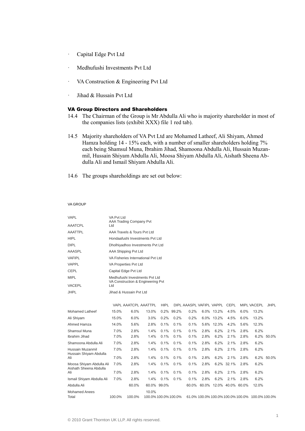- · Capital Edge Pvt Ltd
- · Medhufushi Investments Pvt Ltd
- · VA Construction & Engineering Pvt Ltd
- · Jihad & Hussain Pvt Ltd

# VA Group Directors and Shareholders

- 14.4 The Chairman of the Group is Mr Abdulla Ali who is majority shareholder in most of the companies lists (exhibit XXX) file 1 red tab).
- 14.5 Majority shareholders of VA Pvt Ltd are Mohamed Latheef, Ali Shiyam, Ahmed Hamza holding 14 - 15% each, with a number of smaller shareholders holding 7% each being Shamsul Muna, Ibrahim Jihad, Shamoona Abdulla Ali, Hussain Muzanmil, Hussain Shiyam Abdulla Ali, Moosa Shiyam Abdulla Ali, Aishath Sheena Abdulla Ali and Ismail Shiyam Abdulla Ali.
- 14.6 The groups shareholdings are set out below:

#### VA GROUP

| <b>VAPL</b>                                | VA Pvt Ltd | AAA Trading Company Pvt            |                      |             |            |                               |      |                         |            |      |                                                 |             |  |
|--------------------------------------------|------------|------------------------------------|----------------------|-------------|------------|-------------------------------|------|-------------------------|------------|------|-------------------------------------------------|-------------|--|
| <b>AAATCPL</b>                             | Ltd        |                                    |                      |             |            |                               |      |                         |            |      |                                                 |             |  |
| AAATTPL                                    |            | AAA Travels & Tours Pyt Ltd        |                      |             |            |                               |      |                         |            |      |                                                 |             |  |
| <b>HIPL</b>                                |            | Hondaafushi Investments Pyt Ltd    |                      |             |            |                               |      |                         |            |      |                                                 |             |  |
| <b>DIPL</b>                                |            | Dholhiyadhoo Investments Pvt Ltd   |                      |             |            |                               |      |                         |            |      |                                                 |             |  |
| <b>AAASPL</b>                              |            | AAA Shipping Pvt Ltd               |                      |             |            |                               |      |                         |            |      |                                                 |             |  |
| <b>VAFIPL</b>                              |            | VA Fisheries International Pvt Ltd |                      |             |            |                               |      |                         |            |      |                                                 |             |  |
| <b>VAPPL</b>                               |            | VA Properties Pvt Ltd              |                      |             |            |                               |      |                         |            |      |                                                 |             |  |
| <b>CEPL</b>                                |            | Capital Edge Pvt Ltd               |                      |             |            |                               |      |                         |            |      |                                                 |             |  |
| <b>MIPL</b>                                |            | Medhufushi Investments Pvt Ltd     |                      |             |            |                               |      |                         |            |      |                                                 |             |  |
| <b>VACEPL</b>                              | Ltd        | VA Construction & Engineering Pvt  |                      |             |            |                               |      |                         |            |      |                                                 |             |  |
| <b>JHPL</b>                                |            | Jihad & Hussain Pyt Ltd            |                      |             |            |                               |      |                         |            |      |                                                 |             |  |
|                                            |            |                                    |                      |             |            |                               |      |                         |            |      |                                                 |             |  |
|                                            |            | <b>VAPL AAATCPL AAATTPL</b>        |                      | <b>HIPL</b> |            | DIPL AAASPL VAFIPL VAPPL CEPL |      |                         |            |      | <b>MIPL VACEPL</b>                              | <b>JHPL</b> |  |
| <b>Mohamed Latheef</b>                     | 15.0%      | 6.0%                               | 13.0%                |             | 0.2% 99.2% | 0.2%                          |      | 6.0% 13.2%              | 4.5%       | 6.0% | 13.2%                                           |             |  |
| Ali Shiyam                                 | 15.0%      | 6.0%                               | 3.0%                 | 0.2%        | 0.2%       | 0.2%                          |      | 6.0% 13.2%              | 4.5%       | 6.0% | 13.2%                                           |             |  |
| Ahmed Hamza                                | 14.0%      | 5.6%                               | 2.8%                 | 0.1%        | 0.1%       | 0.1%                          |      | 5.6% 12.3%              | 4.2%       | 5.6% | 12.3%                                           |             |  |
| Shamsul Muna                               | 7.0%       | 2.8%                               | 1.4%                 | 0.1%        | 0.1%       | 0.1%                          | 2.8% | 6.2%                    | 2.1%       | 2.8% | 6.2%                                            |             |  |
| Ibrahim Jihad                              | 7.0%       | 2.8%                               | 1.4%                 | 0.1%        | 0.1%       | 0.1%                          | 2.8% | 6.2%                    | 2.1%       | 2.8% |                                                 | 6.2% 50.0%  |  |
| Shamoona Abdulla Ali                       | 7.0%       | 2.8%                               | 1.4%                 | 0.1%        | 0.1%       | 0.1%                          | 2.8% | 6.2%                    | 2.1%       | 2.8% | 6.2%                                            |             |  |
| Hussain Muzanmil<br>Hussain Shiyam Abdulla | 7.0%       | 2.8%                               | 1.4%                 | 0.1%        | 0.1%       | 0.1%                          | 2.8% | 6.2%                    | 2.1%       | 2.8% | 6.2%                                            |             |  |
| Ali                                        | 7.0%       | 2.8%                               | 1.4%                 | 0.1%        | 0.1%       | 0.1%                          | 2.8% | 6.2%                    | 2.1%       | 2.8% |                                                 | 6.2% 50.0%  |  |
| Moosa Shiyam Abdulla Ali                   | 7.0%       | 2.8%                               | 1.4%                 | 0.1%        | 0.1%       | 0.1%                          | 2.8% |                         | 6.2% 32.1% | 2.8% | 6.2%                                            |             |  |
| Aishath Sheena Abdulla<br>Ali              | 7.0%       | 2.8%                               | 1.4%                 | 0.1%        | 0.1%       | 0.1%                          | 2.8% | 6.2%                    | 2.1%       | 2.8% | 6.2%                                            |             |  |
| Ismail Shiyam Abdulla Ali                  | 7.0%       | 2.8%                               | 1.4%                 | 0.1%        | 0.1%       | 0.1%                          | 2.8% | 6.2%                    | 2.1%       | 2.8% | 6.2%                                            |             |  |
| Abdulla Ali                                |            | 60.0%                              |                      | 60.0% 99.0% |            | 60.0%                         |      | 60.0% 12.0% 40.0% 60.0% |            |      | 12.0%                                           |             |  |
| <b>Mohamed Anees</b>                       |            |                                    | 10.0%                |             |            |                               |      |                         |            |      |                                                 |             |  |
| Total                                      | 100.0%     | 100.0%                             | 100.0% 100.0% 100.0% |             |            |                               |      |                         |            |      | 61.0% 100.0% 100.0% 100.0% 100.0% 100.0% 100.0% |             |  |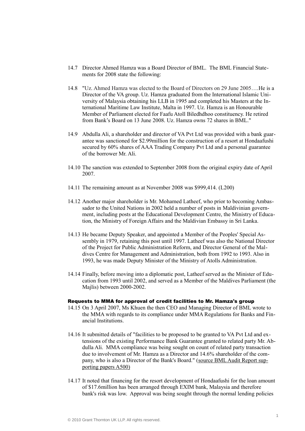- 14.7 Director Ahmed Hamza was a Board Director of BML. The BML Financial Statements for 2008 state the following:
- 14.8 "Uz. Ahmed Hamza was elected to the Board of Directors on 29 June 2005….He is a Director of the VA group. Uz. Hamza graduated from the International Islamic University of Malaysia obtaining his LLB in 1995 and completed his Masters at the International Maritime Law Institute, Malta in 1997. Uz. Hamza is an Honourable Member of Parliament elected for Faafu Atoll Biledhdhoo constituency. He retired from Bank's Board on 13 June 2008. Uz. Hamza owns 72 shares in BML."
- 14.9 Abdulla Ali, a shareholder and director of VA Pvt Ltd was provided with a bank guarantee was sanctioned for \$2.99million for the construction of a resort at Hondaafushi secured by 60% shares of AAA Trading Company Pvt Ltd and a personal guarantee of the borrower Mr. Ali.
- 14.10 The sanction was extended to September 2008 from the original expiry date of April 2007.
- 14.11 The remaining amount as at November 2008 was \$999,414. (L200)
- 14.12 Another major shareholder is Mr. Mohamed Latheef, who prior to becoming Ambassador to the United Nations in 2002 held a number of posts in [Maldivinian govern](http://en.wikipedia.org/wiki/Politics_of_the_Maldives)[ment,](http://en.wikipedia.org/wiki/Politics_of_the_Maldives) including posts at the Educational Development Centre, the Ministry of Education, the Ministry of Foreign Affairs and the Maldivian [Embassy](http://en.wikipedia.org/wiki/Embassy) in [Sri Lanka.](http://en.wikipedia.org/wiki/Sri_Lanka)
- 14.13 He became Deputy [Speaker,](http://en.wikipedia.org/wiki/Speaker_(politics)) and appointed a Member of the Peoples' Special Assembly in 1979, retaining this post until 1997. Latheef was also the National Director of the Project for Public Administration Reform, and Director General of the Maldives Centre for Management and Administration, both from 1992 to 1993. Also in 1993, he was made Deputy Minister of the Ministry of [Atolls](http://en.wikipedia.org/wiki/Atolls_of_the_Maldives) Administration.
- 14.14 Finally, before moving into a diplomatic post, Latheef served as the Minister of Education from 1993 until 2002, and served as a Member of the Maldives Parliament (the [Majlis\)](http://en.wikipedia.org/wiki/Majlis_of_the_Maldives) between 2000-2002.

#### Requests to MMA for approval of credit facilities to Mr. Hamza's group

- 14.15 On 3 April 2007, Ms Khuen the then CEO and Managing Director of BML wrote to the MMA with regards to its compliance under MMA Regulations for Banks and Financial Institutions.
- 14.16 It submitted details of "facilities to be proposed to be granted to VA Pvt Ltd and extensions of the existing Performance Bank Guarantee granted to related party Mr. Abdulla Ali. MMA compliance was being sought on count of related party transaction due to involvement of Mr. Hamza as a Director and 14.6% shareholder of the company, who is also a Director of the Bank's Board." (source BML Audit Report supporting papers A500)
- 14.17 It noted that financing for the resort development of Hondaafushi for the loan amount of \$17.6million has been arranged through EXIM bank, Malaysia and therefore bank's risk was low. Approval was being sought through the normal lending policies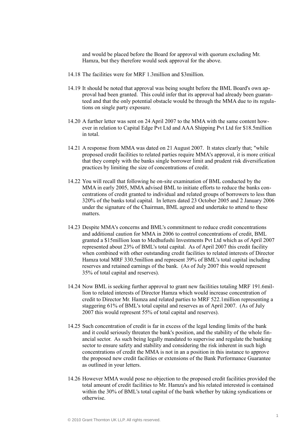and would be placed before the Board for approval with quorum excluding Mr. Hamza, but they therefore would seek approval for the above.

- 14.18 The facilities were for MRF 1.3million and \$3million.
- 14.19 It should be noted that approval was being sought before the BML Board's own approval had been granted. This could infer that its approval had already been guaranteed and that the only potential obstacle would be through the MMA due to its regulations on single party exposure.
- 14.20 A further letter was sent on 24 April 2007 to the MMA with the same content however in relation to Capital Edge Pvt Ltd and AAA Shipping Pvt Ltd for \$18.5million in total.
- 14.21 A response from MMA was dated on 21 August 2007. It states clearly that; "while proposed credit facilities to related parties require MMA's approval, it is more critical that they comply with the banks single borrower limit and prudent risk diversification practices by limiting the size of concentrations of credit.
- 14.22 You will recall that following he on-site examination of BML conducted by the MMA in early 2005, MMA advised BML to initiate efforts to reduce the banks concentrations of credit granted to individual and related groups of borrowers to less than 320% of the banks total capital. In letters dated 23 October 2005 and 2 January 2006 under the signature of the Chairman, BML agreed and undertake to attend to these matters.
- 14.23 Despite MMA's concerns and BML's commitment to reduce credit concentrations and additional caution for MMA in 2006 to control concentrations of credit, BML granted a \$15million loan to Medhufushi Investments Pvt Ltd which as of April 2007 represented about 23% of BML's total capital. As of April 2007 this credit facility when combined with other outstanding credit facilities to related interests of Director Hamza total MRF 330.5million and represent 39% of BML's total capital including reserves and retained earnings of the bank. (As of July 2007 this would represent 35% of total capital and reserves).
- 14.24 Now BML is seeking further approval to grant new facilities totaling MRF 191.6million to related interests of Director Hamza which would increase concentration of credit to Director Mr. Hamza and related parties to MRF 522.1million representing a staggering 61% of BML's total capital and reserves as of April 2007. (As of July 2007 this would represent 55% of total capital and reserves).
- 14.25 Such concentration of credit is far in excess of the legal lending limits of the bank and it could seriously threaten the bank's position, and the stability of the whole financial sector. As such being legally mandated to supervise and regulate the banking sector to ensure safety and stability and considering the risk inherent in such high concentrations of credit the MMA is not in an a position in this instance to approve the proposed new credit facilities or extensions of the Bank Performance Guarantee as outlined in your letters.
- 14.26 However MMA would pose no objection to the proposed credit facilities provided the total amount of credit facilities to Mr. Hamza's and his related interested is contained within the 30% of BML's total capital of the bank whether by taking syndications or otherwise.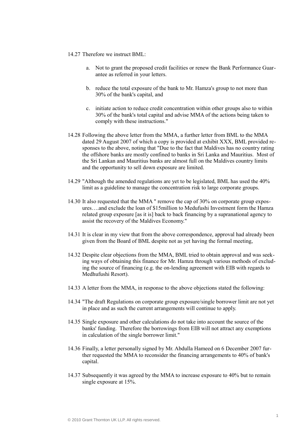#### 14.27 Therefore we instruct BML:

- a. Not to grant the proposed credit facilities or renew the Bank Performance Guarantee as referred in your letters.
- b. reduce the total exposure of the bank to Mr. Hamza's group to not more than 30% of the bank's capital, and
- c. initiate action to reduce credit concentration within other groups also to within 30% of the bank's total capital and advise MMA of the actions being taken to comply with these instructions."
- 14.28 Following the above letter from the MMA, a further letter from BML to the MMA dated 29 August 2007 of which a copy is provided at exhibit XXX, BML provided responses to the above, noting that "Due to the fact that Maldives has no country rating the offshore banks are mostly confined to banks in Sri Lanka and Mauritius. Most of the Sri Lankan and Mauritius banks are almost full on the Maldives country limits and the opportunity to sell down exposure are limited.
- 14.29 "Although the amended regulations are yet to be legislated, BML has used the 40% limit as a guideline to manage the concentration risk to large corporate groups.
- 14.30 It also requested that the MMA " remove the cap of 30% on corporate group exposures….and exclude the loan of \$15million to Medufushi Investment form the Hamza related group exposure [as it is] back to back financing by a supranational agency to assist the recovery of the Maldives Economy."
- 14.31 It is clear in my view that from the above correspondence, approval had already been given from the Board of BML despite not as yet having the formal meeting,
- 14.32 Despite clear objections from the MMA, BML tried to obtain approval and was seeking ways of obtaining this finance for Mr. Hamza through various methods of excluding the source of financing (e.g. the on-lending agreement with EIB with regards to Medhufushi Resort).
- 14.33 A letter from the MMA, in response to the above objections stated the following:
- 14.34 "The draft Regulations on corporate group exposure/single borrower limit are not yet in place and as such the current arrangements will continue to apply.
- 14.35 Single exposure and other calculations do not take into account the source of the banks' funding. Therefore the borrowings from EIB will not attract any exemptions in calculation of the single borrower limit."
- 14.36 Finally, a letter personally signed by Mr. Abdulla Hameed on 6 December 2007 further requested the MMA to reconsider the financing arrangements to 40% of bank's capital.
- 14.37 Subsequently it was agreed by the MMA to increase exposure to 40% but to remain single exposure at 15%.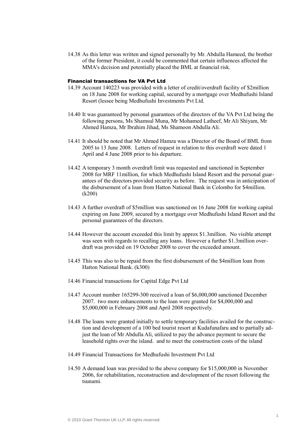14.38 As this letter was written and signed personally by Mr. Abdulla Hameed, the brother of the former President, it could be commented that certain influences affected the MMA's decision and potentially placed the BML at financial risk.

# Financial transactions for VA Pvt Ltd

- 14.39 Account 140223 was provided with a letter of credit/overdraft facility of \$2million on 18 June 2008 for working capital, secured by a mortgage over Medhufushi Island Resort (lessee being Medhufushi Investments Pvt Ltd.
- 14.40 It was guaranteed by personal guarantees of the directors of the VA Pvt Ltd being the following persons, Ms Shamsul Muna, Mr Mohamed Latheef, Mr Ali Shiyam, Mr Ahmed Hamza, Mr Ibrahim Jihad, Ms Shamoon Abdulla Ali.
- 14.41 It should be noted that Mr Ahmed Hamza was a Director of the Board of BML from 2005 to 13 June 2008. Letters of request in relation to this overdraft were dated 1 April and 4 June 2008 prior to his departure.
- 14.42 A temporary 3 month overdraft limit was requested and sanctioned in September 2008 for MRF 11million, for which Medhufushi Island Resort and the personal guarantees of the directors provided security as before. The request was in anticipation of the disbursement of a loan from Hatton National Bank in Colombo for \$4million. (k200)
- 14.43 A further overdraft of \$5million was sanctioned on 16 June 2008 for working capital expiring on June 2009, secured by a mortgage over Medhufushi Island Resort and the personal guarantees of the directors.
- 14.44 However the account exceeded this limit by approx \$1.3million. No visible attempt was seen with regards to recalling any loans. However a further \$1.3million overdraft was provided on 19 October 2008 to cover the exceeded amount.
- 14.45 This was also to be repaid from the first disbursement of the \$4million loan from Hatton National Bank. (k300)
- 14.46 Financial transactions for Capital Edge Pvt Ltd
- 14.47 Account number 165299-300 received a loan of \$6,000,000 sanctioned December 2007. two more enhancements to the loan were granted for \$4,000,000 and \$5,000,000 in February 2008 and April 2008 respectively.
- 14.48 The loans were granted initially to settle temporary facilities availed for the construction and development of a 100 bed tourist resort at Kudafunafaru and to partially adjust the loan of Mr Abdulla Ali, utilized to pay the advance payment to secure the leasehold rights over the island. and to meet the construction costs of the island
- 14.49 Financial Transactions for Medhufushi Investment Pvt Ltd
- 14.50 A demand loan was provided to the above company for \$15,000,000 in November 2006, for rehabilitation, reconstruction and development of the resort following the tsunami.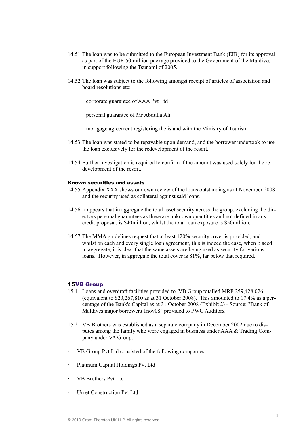- 14.51 The loan was to be submitted to the European Investment Bank (EIB) for its approval as part of the EUR 50 million package provided to the Government of the Maldives in support following the Tsunami of 2005.
- 14.52 The loan was subject to the following amongst receipt of articles of association and board resolutions etc:
	- · corporate guarantee of AAA Pvt Ltd
	- · personal guarantee of Mr Abdulla Ali
	- mortgage agreement registering the island with the Ministry of Tourism
- 14.53 The loan was stated to be repayable upon demand, and the borrower undertook to use the loan exclusively for the redevelopment of the resort.
- 14.54 Further investigation is required to confirm if the amount was used solely for the redevelopment of the resort.

## Known securities and assets

- 14.55 Appendix XXX shows our own review of the loans outstanding as at November 2008 and the security used as collateral against said loans.
- 14.56 It appears that in aggregate the total asset security across the group, excluding the directors personal guarantees as these are unknown quantities and not defined in any credit proposal, is \$40million, whilst the total loan exposure is \$50million.
- 14.57 The MMA guidelines request that at least 120% security cover is provided, and whilst on each and every single loan agreement, this is indeed the case, when placed in aggregate, it is clear that the same assets are being used as security for various loans. However, in aggregate the total cover is 81%, far below that required.

#### 15VB Group

- 15.1 Loans and overdraft facilities provided to VB Group totalled MRF 259,428,026 (equivalent to \$20,267,810 as at 31 October 2008). This amounted to 17.4% as a percentage of the Bank's Capital as at 31 October 2008 (Exhibit 2) - Source: "Bank of Maldives major borrowers 1nov08" provided to PWC Auditors.
- 15.2 VB Brothers was established as a separate company in December 2002 due to disputes among the family who were engaged in business under AAA & Trading Company under VA Group.
- VB Group Pvt Ltd consisted of the following companies:
- Platinum Capital Holdings Pvt Ltd
- · VB Brothers Pvt Ltd
- · Umet Construction Pvt Ltd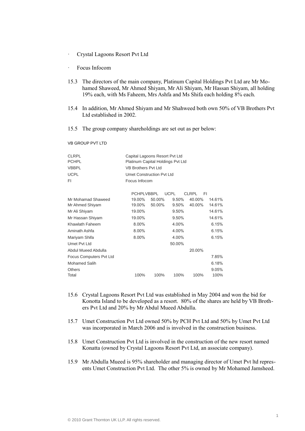- · Crystal Lagoons Resort Pvt Ltd
- · Focus Infocom
- 15.3 The directors of the main company, Platinum Capital Holdings Pvt Ltd are Mr Mohamed Shaweed, Mr Ahmed Shiyam, Mr Ali Shiyam, Mr Hassan Shiyam, all holding 19% each, with Ms Faheem, Mrs Ashfa and Ms Shifa each holding 8% each.
- 15.4 In addition, Mr Ahmed Shiyam and Mr Shahweed both own 50% of VB Brothers Pvt Ltd established in 2002.
- 15.5 The group company shareholdings are set out as per below:

VB GROUP PVT LTD

| Capital Lagoons Resort Pvt Ltd    |
|-----------------------------------|
| Platinum Capital Holdings Pvt Ltd |
| VB Brothers Pvt Ltd               |
| Umet Construction Pyt Ltd         |
| Focus Infocom                     |
|                                   |

|                         | <b>PCHPLVBBPL</b> |        | UCPL   | CLRPL<br>FI |        |
|-------------------------|-------------------|--------|--------|-------------|--------|
| Mr Mohamad Shaweed      | 19.00%            | 50.00% | 9.50%  | 40.00%      | 14.61% |
| Mr Ahmed Shiyam         | 19.00%            | 50.00% | 9.50%  | 40.00%      | 14.61% |
| Mr Ali Shiyam           | 19.00%            |        | 9.50%  |             | 14.61% |
| Mr Hassan Shiyam        | 19.00%            |        | 9.50%  |             | 14.61% |
| Khawlath Faheem         | 8.00%             |        | 4.00%  |             | 6.15%  |
| Aminath Ashfa           | 8.00%             |        | 4.00%  |             | 6.15%  |
| Mariyam Shifa           | 8.00%             |        | 4.00%  |             | 6.15%  |
| Umet Pyt Ltd            |                   |        | 50.00% |             |        |
| Abdul Mueed Abdulla     |                   |        |        | 20.00%      |        |
| Focus Computers Pvt Ltd |                   |        |        |             | 7.85%  |
| Mohamed Salih           |                   |        |        |             | 6.18%  |
| <b>Others</b>           |                   |        |        |             | 9.05%  |
| Total                   | 100%              | 100%   | 100%   | 100%        | 100%   |

- 15.6 Crystal Lagoons Resort Pvt Ltd was established in May 2004 and won the bid for Konotta Island to be developed as a resort. 80% of the shares are held by VB Brothers Pvt Ltd and 20% by Mr Abdul Mueed Abdulla.
- 15.7 Umet Construction Pvt Ltd owned 50% by PCH Pvt Ltd and 50% by Umet Pvt Ltd was incorporated in March 2006 and is involved in the construction business.
- 15.8 Umet Construction Pvt Ltd is involved in the construction of the new resort named Konatta (owned by Crystal Lagoons Resort Pvt Ltd, an associate company).
- 15.9 Mr Abdulla Mueed is 95% shareholder and managing director of Umet Pvt ltd represents Umet Construction Pvt Ltd. The other 5% is owned by Mr Mohamed Jamsheed.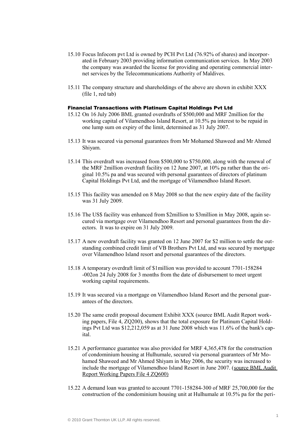- 15.10 Focus Infocom pvt Ltd is owned by PCH Pvt Ltd (76.92% of shares) and incorporated in February 2003 providing information communication services. In May 2003 the company was awarded the license for providing and operating commercial internet services by the Telecommunications Authority of Maldives.
- 15.11 The company structure and shareholdings of the above are shown in exhibit XXX (file 1, red tab)

### Financial Transactions with Platinum Capital Holdings Pvt Ltd

- 15.12 On 16 July 2006 BML granted overdrafts of \$500,000 and MRF 2million for the working capital of Vilamendhoo Island Resort, at 10.5% pa interest to be repaid in one lump sum on expiry of the limit, determined as 31 July 2007.
- 15.13 It was secured via personal guarantees from Mr Mohamed Shaweed and Mr Ahmed Shiyam.
- 15.14 This overdraft was increased from \$500,000 to \$750,000, along with the renewal of the MRF 2million overdraft facility on 12 June 2007, at 10% pa rather than the original 10.5% pa and was secured with personal guarantees of directors of platinum Capital Holdings Pvt Ltd, and the mortgage of Vilamendhoo Island Resort.
- 15.15 This facility was amended on 8 May 2008 so that the new expiry date of the facility was 31 July 2009.
- 15.16 The US\$ facility was enhanced from \$2million to \$3million in May 2008, again secured via mortgage over Vilamendhoo Resort and personal guarantees from the directors. It was to expire on 31 July 2009.
- 15.17 A new overdraft facility was granted on 12 June 2007 for \$2 million to settle the outstanding combined credit limit of VB Brothers Pvt Ltd, and was secured by mortgage over Vilamendhoo Island resort and personal guarantees of the directors.
- 15.18 A temporary overdraft limit of \$1million was provided to account 7701-158284 -002on 24 July 2008 for 3 months from the date of disbursement to meet urgent working capital requirements.
- 15.19 It was secured via a mortgage on Vilamendhoo Island Resort and the personal guarantees of the directors.
- 15.20 The same credit proposal document Exhibit XXX (source BML Audit Report working papers, File 4, ZQ200), shows that the total exposure for Platinum Capital Holdings Pvt Ltd was \$12,212,059 as at 31 June 2008 which was 11.6% of the bank's capital.
- 15.21 A performance guarantee was also provided for MRF 4,365,478 for the construction of condominium housing at Hulhumale, secured via personal guarantees of Mr Mohamed Shaweed and Mr Ahmed Shiyam in May 2006, the security was increased to include the mortgage of Vilamendhoo Island Resort in June 2007. (source BML Audit Report Working Papers File 4 ZQ600)
- 15.22 A demand loan was granted to account 7701-158284-300 of MRF 25,700,000 for the construction of the condominium housing unit at Hulhumale at 10.5% pa for the peri-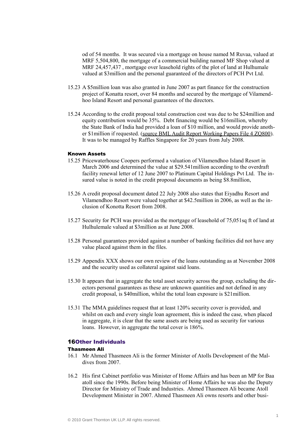od of 54 months. It was secured via a mortgage on house named M Ruvaa, valued at MRF 5,504,800, the mortgage of a commercial building named MF Shop valued at MRF 24,457,437, mortgage over leasehold rights of the plot of land at Hulhumale valued at \$3million and the personal guaranteed of the directors of PCH Pvt Ltd.

- 15.23 A \$5million loan was also granted in June 2007 as part finance for the construction project of Konatta resort, over 84 months and secured by the mortgage of Vilamendhoo Island Resort and personal guarantees of the directors.
- 15.24 According to the credit proposal total construction cost was due to be \$24million and equity contribution would be 35%. Debt financing would be \$16million, whereby the State Bank of India had provided a loan of \$10 million, and would provide another \$1million if requested. (source BML Audit Report Working Papers File 4 ZQ800). It was to be managed by Raffles Singapore for 20 years from July 2008.

## Known Assets

- 15.25 Pricewaterhouse Coopers performed a valuation of Vilamendhoo Island Resort in March 2006 and determined the value at \$29.541million according to the overdraft facility renewal letter of 12 June 2007 to Platinum Capital Holdings Pvt Ltd. The insured value is noted in the credit proposal documents as being \$8.8million,
- 15.26 A credit proposal document dated 22 July 2008 also states that Eiyadhu Resort and Vilamendhoo Resort were valued together at \$42.5million in 2006, as well as the inclusion of Konotta Resort from 2008.
- 15.27 Security for PCH was provided as the mortgage of leasehold of 75,051sq ft of land at Hulhulemale valued at \$3million as at June 2008.
- 15.28 Personal guarantees provided against a number of banking facilities did not have any value placed against them in the files.
- 15.29 Appendix XXX shows our own review of the loans outstanding as at November 2008 and the security used as collateral against said loans.
- 15.30 It appears that in aggregate the total asset security across the group, excluding the directors personal guarantees as these are unknown quantities and not defined in any credit proposal, is \$40million, whilst the total loan exposure is \$21million.
- 15.31 The MMA guidelines request that at least 120% security cover is provided, and whilst on each and every single loan agreement, this is indeed the case, when placed in aggregate, it is clear that the same assets are being used as security for various loans. However, in aggregate the total cover is 186%.

# 16Other Individuals

## Thasmeen Ali

- 16.1 Mr Ahmed Thasmeen Ali is the former [Minister of Atolls Development](http://www.presidencymaldives.gov.mv/pages/default.php?NVFiBzlfM1I3QjNfZhJjUzEANg4=) of the [Mal](http://en.wikipedia.org/wiki/Maldives)[dives](http://en.wikipedia.org/wiki/Maldives) from 2007.
- 16.2 His first Cabinet portfolio was Minister of Home Affairs and has been an MP for Baa atoll since the 1990s. Before being Minister of Home Affairs he was also the Deputy Director for Ministry of Trade and Industries. Ahmed Thasmeen Ali became [Atoll](http://www.presidencymaldives.gov.mv/pages/eng_news.php?news:4197:1)  [Development Minister](http://www.presidencymaldives.gov.mv/pages/eng_news.php?news:4197:1) in 2007. Ahmed Thasmeen Ali owns resorts and other busi-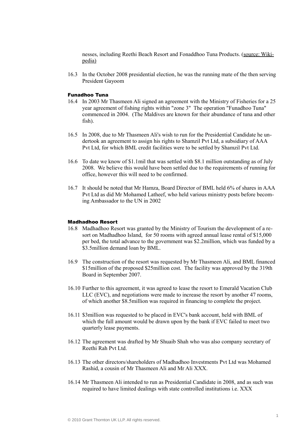nesses, including Reethi Beach Resort and [Fonaddhoo](http://en.wikipedia.org/wiki/Fonaddhoo) Tuna Products. (source: Wikipedia)

16.3 In the [October 2008 presidential election,](http://en.wikipedia.org/wiki/Maldives_presidential_election,_2008) he was the [running mate](http://en.wikipedia.org/wiki/Running_mate) of the then serving President Gayoom

#### Funadhoo Tuna

- 16.4 In 2003 Mr Thasmeen Ali signed an agreement with the Ministry of Fisheries for a 25 year agreement of fishing rights within "zone 3" The operation "Funadhoo Tuna" commenced in 2004. (The Maldives are known for their abundance of tuna and other fish).
- 16.5 In 2008, due to Mr Thasmeen Ali's wish to run for the Presidential Candidate he undertook an agreement to assign his rights to Shamzil Pvt Ltd, a subsidiary of AAA Pvt Ltd, for which BML credit facilities were to be settled by Shamzil Pvt Ltd.
- 16.6 To date we know of \$1.1mil that was settled with \$8.1 million outstanding as of July 2008. We believe this would have been settled due to the requirements of running for office, however this will need to be confirmed.
- 16.7 It should be noted that Mr Hamza, Board Director of BML held 6% of shares in AAA Pvt Ltd as did Mr Mohamed Latheef, who held various ministry posts before becoming Ambassador to the UN in 2002

# Madhadhoo Resort

- 16.8 Madhadhoo Resort was granted by the Ministry of Tourism the development of a resort on Madhadhoo Island, for 50 rooms with agreed annual lease rental of \$15,000 per bed, the total advance to the government was \$2.2million, which was funded by a \$3.5million demand loan by BML.
- 16.9 The construction of the resort was requested by Mr Thasmeen Ali, and BML financed \$15million of the proposed \$25million cost. The facility was approved by the 319th Board in September 2007.
- 16.10 Further to this agreement, it was agreed to lease the resort to Emerald Vacation Club LLC (EVC), and negotiations were made to increase the resort by another 47 rooms, of which another \$8.5million was required in financing to complete the project.
- 16.11 \$3million was requested to be placed in EVC's bank account, held with BML of which the full amount would be drawn upon by the bank if EVC failed to meet two quarterly lease payments.
- 16.12 The agreement was drafted by Mr Shuaib Shah who was also company secretary of Reethi Rah Pvt Ltd.
- 16.13 The other directors/shareholders of Madhadhoo Investments Pvt Ltd was Mohamed Rashid, a cousin of Mr Thasmeen Ali and Mr Ali XXX.
- 16.14 Mr Thasmeen Ali intended to run as Presidential Candidate in 2008, and as such was required to have limited dealings with state controlled institutions i.e. XXX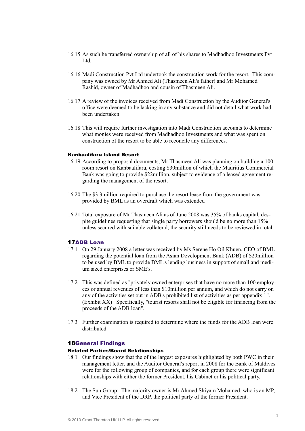- 16.15 As such he transferred ownership of all of his shares to Madhadhoo Investments Pvt Ltd.
- 16.16 Madi Construction Pvt Ltd undertook the construction work for the resort. This company was owned by Mr Ahmed Ali (Thasmeen Ali's father) and Mr Mohamed Rashid, owner of Madhadhoo and cousin of Thasmeen Ali.
- 16.17 A review of the invoices received from Madi Construction by the Auditor General's office were deemed to be lacking in any substance and did not detail what work had been undertaken.
- 16.18 This will require further investigation into Madi Construction accounts to determine what monies were received from Madhadhoo Investments and what was spent on construction of the resort to be able to reconcile any differences.

## Kanbaalifaru Island Resort

- 16.19 According to proposal documents, Mr Thasmeen Ali was planning on building a 100 room resort on Kanbaalifaru, costing \$30million of which the Mauritius Commercial Bank was going to provide \$22million, subject to evidence of a leased agreement regarding the management of the resort.
- 16.20 The \$3.3million required to purchase the resort lease from the government was provided by BML as an overdraft which was extended
- 16.21 Total exposure of Mr Thasmeen Ali as of June 2008 was 35% of banks capital, despite guidelines requesting that single party borrowers should be no more than 15% unless secured with suitable collateral, the security still needs to be reviewed in total.

## 17ADB Loan

- 17.1 On 29 January 2008 a letter was received by Ms Serene Ho Oil Khuen, CEO of BML regarding the potential loan from the Asian Development Bank (ADB) of \$20million to be used by BML to provide BML's lending business in support of small and medium sized enterprises or SME's.
- 17.2 This was defined as "privately owned enterprises that have no more than 100 employees or annual revenues of less than \$10million per annum, and which do not carry on any of the activities set out in ADB's prohibited list of activities as per appendix 1". (Exhibit XX) Specifically, "tourist resorts shall not be eligible for financing from the proceeds of the ADB loan".
- 17.3 Further examination is required to determine where the funds for the ADB loan were distributed.

#### 18General Findings

## Related Parties/Board Relationships

- 18.1 Our findings show that the of the largest exposures highlighted by both PWC in their management letter, and the Auditor General's report in 2008 for the Bank of Maldives were for the following group of companies, and for each group there were significant relationships with either the former President, his Cabinet or his political party.
- 18.2 The Sun Group: The majority owner is Mr Ahmed Shiyam Mohamed, who is an MP, and Vice President of the DRP, the political party of the former President.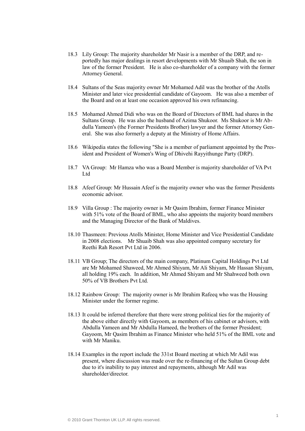- 18.3 Lily Group: The majority shareholder Mr Nasir is a member of the DRP, and reportedly has major dealings in resort developments with Mr Shuaib Shah, the son in law of the former President. He is also co-shareholder of a company with the former Attorney General.
- 18.4 Sultans of the Seas majority owner Mr Mohamed Adil was the brother of the Atolls Minister and later vice presidential candidate of Gayoom. He was also a member of the Board and on at least one occasion approved his own refinancing.
- 18.5 Mohamed Ahmed Didi who was on the Board of Directors of BML had shares in the Sultans Group. He was also the husband of Azima Shukoor. Ms Shukoor is Mr Abdulla Yameen's (the Former Presidents Brother) lawyer and the former Attorney General. She was also formerly a deputy at the Ministry of Home Affairs.
- 18.6 Wikipedia states the following "She is a member of parliament appointed by the President and President of Women's Wing of Dhivehi Rayyithunge Party (DRP).
- 18.7 VA Group: Mr Hamza who was a Board Member is majority shareholder of VA Pvt Ltd
- 18.8 Afeef Group: Mr Hussain Afeef is the majority owner who was the former Presidents economic advisor.
- 18.9 Villa Group : The majority owner is Mr Qasim Ibrahim, former Finance Minister with 51% vote of the Board of BML, who also appoints the majority board members and the Managing Director of the Bank of Maldives.
- 18.10 Thasmeen: Previous Atolls Minister, Home Minister and Vice Presidential Candidate in 2008 elections. Mr Shuaib Shah was also appointed company secretary for Reethi Rah Resort Pvt Ltd in 2006.
- 18.11 VB Group; The directors of the main company, Platinum Capital Holdings Pvt Ltd are Mr Mohamed Shaweed, Mr Ahmed Shiyam, Mr Ali Shiyam, Mr Hassan Shiyam, all holding 19% each. In addition, Mr Ahmed Shiyam and Mr Shahweed both own 50% of VB Brothers Pvt Ltd.
- 18.12 Rainbow Group: The majority owner is Mr Ibrahim Rafeeq who was the Housing Minister under the former regime.
- 18.13 It could be inferred therefore that there were strong political ties for the majority of the above either directly with Gayoom, as members of his cabinet or advisors, with Abdulla Yameen and Mr Abdulla Hameed, the brothers of the former President; Gayoom, Mr Qasim Ibrahim as Finance Minister who held 51% of the BML vote and with Mr Maniku.
- 18.14 Examples in the report include the 331st Board meeting at which Mr Adil was present, where discussion was made over the re-financing of the Sultan Group debt due to it's inability to pay interest and repayments, although Mr Adil was shareholder/director.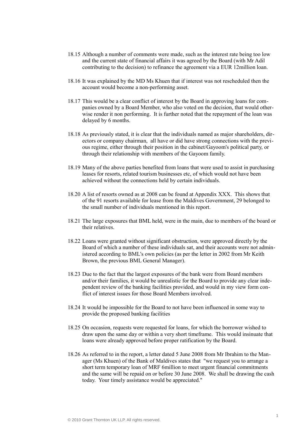- 18.15 Although a number of comments were made, such as the interest rate being too low and the current state of financial affairs it was agreed by the Board (with Mr Adil contributing to the decision) to refinance the agreement via a EUR 12million loan.
- 18.16 It was explained by the MD Ms Khuen that if interest was not rescheduled then the account would become a non-performing asset.
- 18.17 This would be a clear conflict of interest by the Board in approving loans for companies owned by a Board Member, who also voted on the decision, that would otherwise render it non performing. It is further noted that the repayment of the loan was delayed by 6 months.
- 18.18 As previously stated, it is clear that the individuals named as major shareholders, directors or company chairman, all have or did have strong connections with the previous regime, either through their position in the cabinet/Gayoom's political party, or through their relationship with members of the Gayoom family.
- 18.19 Many of the above parties benefited from loans that were used to assist in purchasing leases for resorts, related tourism businesses etc, of which would not have been achieved without the connections held by certain individuals.
- 18.20 A list of resorts owned as at 2008 can be found at Appendix XXX. This shows that of the 91 resorts available for lease from the Maldives Government, 29 belonged to the small number of individuals mentioned in this report.
- 18.21 The large exposures that BML held, were in the main, due to members of the board or their relatives.
- 18.22 Loans were granted without significant obstruction, were approved directly by the Board of which a number of these individuals sat, and their accounts were not administered according to BML's own policies (as per the letter in 2002 from Mr Keith Brown, the previous BML General Manager).
- 18.23 Due to the fact that the largest exposures of the bank were from Board members and/or their families, it would be unrealistic for the Board to provide any clear independent review of the banking facilities provided, and would in my view form conflict of interest issues for those Board Members involved.
- 18.24 It would be impossible for the Board to not have been influenced in some way to provide the proposed banking facilities
- 18.25 On occasion, requests were requested for loans, for which the borrower wished to draw upon the same day or within a very short timeframe. This would insinuate that loans were already approved before proper ratification by the Board.
- 18.26 As referred to in the report, a letter dated 5 June 2008 from Mr Ibrahim to the Manager (Ms Khuen) of the Bank of Maldives states that "we request you to arrange a short term temporary loan of MRF 6million to meet urgent financial commitments and the same will be repaid on or before 30 June 2008. We shall be drawing the cash today. Your timely assistance would be appreciated."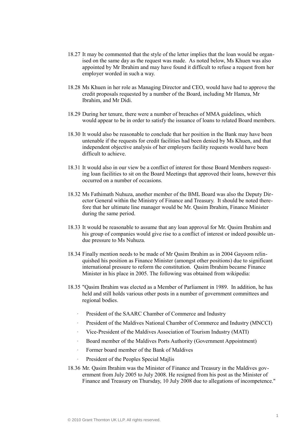- 18.27 It may be commented that the style of the letter implies that the loan would be organised on the same day as the request was made. As noted below, Ms Khuen was also appointed by Mr Ibrahim and may have found it difficult to refuse a request from her employer worded in such a way.
- 18.28 Ms Khuen in her role as Managing Director and CEO, would have had to approve the credit proposals requested by a number of the Board, including Mr Hamza, Mr Ibrahim, and Mr Didi.
- 18.29 During her tenure, there were a number of breaches of MMA guidelines, which would appear to be in order to satisfy the issuance of loans to related Board members.
- 18.30 It would also be reasonable to conclude that her position in the Bank may have been untenable if the requests for credit facilities had been denied by Ms Khuen, and that independent objective analysis of her employers facility requests would have been difficult to achieve.
- 18.31 It would also in our view be a conflict of interest for those Board Members requesting loan facilities to sit on the Board Meetings that approved their loans, however this occurred on a number of occasions.
- 18.32 Ms Fathimath Nuhuza, another member of the BML Board was also the Deputy Director General within the Ministry of Finance and Treasury. It should be noted therefore that her ultimate line manager would be Mr. Qasim Ibrahim, Finance Minister during the same period.
- 18.33 It would be reasonable to assume that any loan approval for Mr. Qasim Ibrahim and his group of companies would give rise to a conflict of interest or indeed possible undue pressure to Ms Nuhuza.
- 18.34 Finally mention needs to be made of Mr Qasim Ibrahim as in 2004 Gayoom relinquished his position as Finance Minister (amongst other positions) due to significant international pressure to reform the constitution. Qasim Ibrahim became Finance Minister in his place in 2005. The following was obtained from wikipedia:
- 18.35 "Qasim Ibrahim was elected as a Member of Parliament in 1989. In addition, he has held and still holds various other posts in a number of government committees and regional bodies.
	- President of the SAARC Chamber of Commerce and Industry
	- President of the Maldives National Chamber of Commerce and Industry (MNCCI)
	- · Vice-President of the Maldives Association of Tourism Industry (MATI)
	- · Board member of the Maldives Ports Authority (Government Appointment)
	- · Former board member of the Bank of Maldives
		- President of the Peoples Special Mailis
- 18.36 Mr. Qasim Ibrahim was the Minister of Finance and Treasury in the Maldives government from July 2005 to July 2008. He resigned from his post as the Minister of Finance and Treasury on Thursday, 10 July 2008 due to allegations of incompetence."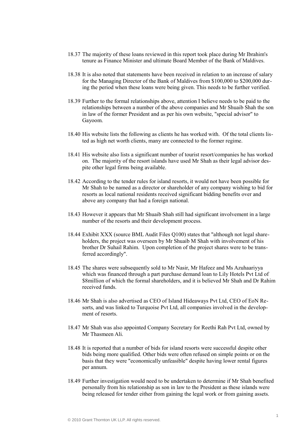- 18.37 The majority of these loans reviewed in this report took place during Mr Ibrahim's tenure as Finance Minister and ultimate Board Member of the Bank of Maldives.
- 18.38 It is also noted that statements have been received in relation to an increase of salary for the Managing Director of the Bank of Maldives from \$100,000 to \$200,000 during the period when these loans were being given. This needs to be further verified.
- 18.39 Further to the formal relationships above, attention I believe needs to be paid to the relationships between a number of the above companies and Mr Shuaib Shah the son in law of the former President and as per his own website, "special advisor" to Gayoom.
- 18.40 His website lists the following as clients he has worked with. Of the total clients listed as high net worth clients, many are connected to the former regime.
- 18.41 His website also lists a significant number of tourist resort/companies he has worked on. The majority of the resort islands have used Mr Shah as their legal advisor despite other legal firms being available.
- 18.42 According to the tender rules for island resorts, it would not have been possible for Mr Shah to be named as a director or shareholder of any company wishing to bid for resorts as local national residents received significant bidding benefits over and above any company that had a foreign national.
- 18.43 However it appears that Mr Shuaib Shah still had significant involvement in a large number of the resorts and their development process.
- 18.44 Exhibit XXX (source BML Audit Files Q100) states that "although not legal shareholders, the project was overseen by Mr Shuaib M Shah with involvement of his brother Dr Suhail Rahim. Upon completion of the project shares were to be transferred accordingly".
- 18.45 The shares were subsequently sold to Mr Nasir, Mr Hafeez and Ms Azuhaariyya which was financed through a part purchase demand loan to Lily Hotels Pyt Ltd of \$8million of which the formal shareholders, and it is believed Mr Shah and Dr Rahim received funds.
- 18.46 Mr Shah is also advertised as CEO of Island Hideaways Pvt Ltd, CEO of EoN Resorts, and was linked to Turquoise Pvt Ltd, all companies involved in the development of resorts.
- 18.47 Mr Shah was also appointed Company Secretary for Reethi Rah Pvt Ltd, owned by Mr Thasmeen Ali.
- 18.48 It is reported that a number of bids for island resorts were successful despite other bids being more qualified. Other bids were often refused on simple points or on the basis that they were "economically unfeasible" despite having lower rental figures per annum.
- 18.49 Further investigation would need to be undertaken to determine if Mr Shah benefited personally from his relationship as son in law to the President as these islands were being released for tender either from gaining the legal work or from gaining assets.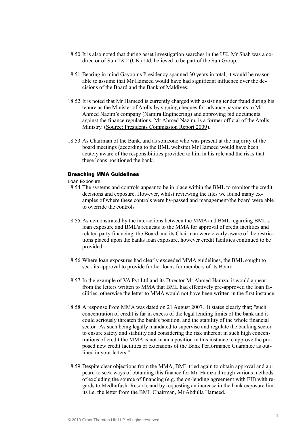- 18.50 It is also noted that during asset investigation searches in the UK, Mr Shah was a codirector of Sun T&T (UK) Ltd, believed to be part of the Sun Group.
- 18.51 Bearing in mind Gayooms Presidency spanned 30 years in total, it would be reasonable to assume that Mr Hameed would have had significant influence over the decisions of the Board and the Bank of Maldives.
- 18.52 It is noted that Mr Hameed is currently charged with assisting tender fraud during his tenure as the Minister of Atolls by signing cheques for advance payments to Mr Ahmed Nazim's company (Namira Engineering) and approving bid documents against the finance regulations. Mr Ahmed Nazim, is a former official of the Atolls Ministry. (Source: Presidents Commission Report 2009).
- 18.53 As Chairman of the Bank, and as someone who was present at the majority of the board meetings (according to the BML website) Mr Hameed would have been acutely aware of the responsibilities provided to him in his role and the risks that these loans positioned the bank.

#### Breaching MMA Guidelines

#### Loan Exposure

- 18.54 The systems and controls appear to be in place within the BML to monitor the credit decisions and exposure. However, whilst reviewing the files we found many examples of where these controls were by-passed and management/the board were able to override the controls
- 18.55 As demonstrated by the interactions between the MMA and BML regarding BML's loan exposure and BML's requests to the MMA for approval of credit facilities and related party financing, the Board and its Chairman were clearly aware of the restrictions placed upon the banks loan exposure, however credit facilities continued to be provided.
- 18.56 Where loan exposures had clearly exceeded MMA guidelines, the BML sought to seek its approval to provide further loans for members of its Board.
- 18.57 In the example of VA Pvt Ltd and its Director Mr Ahmed Hamza, it would appear from the letters written to MMA that BML had effectively pre-approved the loan facilities, otherwise the letter to MMA would not have been written in the first instance.
- 18.58 A response from MMA was dated on 21 August 2007. It states clearly that; "such concentration of credit is far in excess of the legal lending limits of the bank and it could seriously threaten the bank's position, and the stability of the whole financial sector. As such being legally mandated to supervise and regulate the banking sector to ensure safety and stability and considering the risk inherent in such high concentrations of credit the MMA is not in an a position in this instance to approve the proposed new credit facilities or extensions of the Bank Performance Guarantee as outlined in your letters."
- 18.59 Despite clear objections from the MMA, BML tried again to obtain approval and appeard to seek ways of obtaining this finance for Mr. Hamza through various methods of excluding the source of financing (e.g. the on-lending agreement with EIB with regards to Medhufushi Resort), and by requesting an increase in the bank exposure limits i.e. the letter from the BML Chairman, Mr Abdulla Hameed.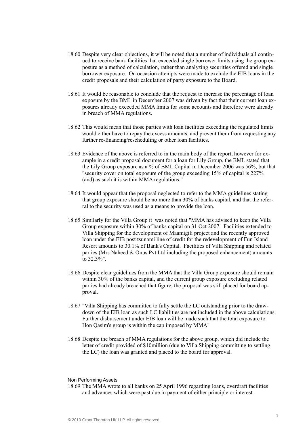- 18.60 Despite very clear objections, it will be noted that a number of individuals all continued to receive bank facilities that exceeded single borrower limits using the group exposure as a method of calculation, rather than analyzing securities offered and single borrower exposure. On occasion attempts were made to exclude the EIB loans in the credit proposals and their calculation of party exposure to the Board.
- 18.61 It would be reasonable to conclude that the request to increase the percentage of loan exposure by the BML in December 2007 was driven by fact that their current loan exposures already exceeded MMA limits for some accounts and therefore were already in breach of MMA regulations.
- 18.62 This would mean that those parties with loan facilities exceeding the regulated limits would either have to repay the excess amounts, and prevent them from requesting any further re-financing/rescheduling or other loan facilities.
- 18.63 Evidence of the above is referred to in the main body of the report, however for example in a credit proposal document for a loan for Lily Group, the BML stated that the Lily Group exposure as a % of BML Capital in December 2006 was 56%, but that "security cover on total exposure of the group exceeding 15% of capital is 227% (and) as such it is within MMA regulations."
- 18.64 It would appear that the proposal neglected to refer to the MMA guidelines stating that group exposure should be no more than 30% of banks capital, and that the referral to the security was used as a means to provide the loan.
- 18.65 Similarly for the Villa Group it was noted that "MMA has advised to keep the Villa Group exposure within 30% of banks capital on 31 Oct 2007. Facilities extended to Villa Shipping for the development of Maamigili project and the recently approved loan under the EIB post tsunami line of credit for the redevelopment of Fun Island Resort amounts to 30.1% of Bank's Capital. Facilities of Villa Shipping and related parties (Mrs Naheed & Onus Pvt Ltd including the proposed enhancement) amounts to 32.3%".
- 18.66 Despite clear guidelines from the MMA that the Villa Group exposure should remain within 30% of the banks capital, and the current group exposure excluding related parties had already breached that figure, the proposal was still placed for board approval.
- 18.67 "Villa Shipping has committed to fully settle the LC outstanding prior to the drawdown of the EIB loan as such LC liabilities are not included in the above calculations. Further disbursement under EIB loan will be made such that the total exposure to Hon Qasim's group is within the cap imposed by MMA"
- 18.68 Despite the breach of MMA regulations for the above group, which did include the letter of credit provided of \$10million (due to Villa Shipping committing to settling the LC) the loan was granted and placed to the board for approval.

#### Non Performing Assets

18.69 The MMA wrote to all banks on 25 April 1996 regarding loans, overdraft facilities and advances which were past due in payment of either principle or interest.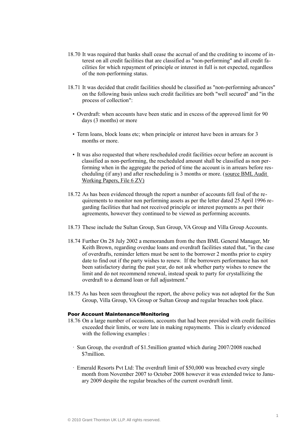- 18.70 It was required that banks shall cease the accrual of and the crediting to income of interest on all credit facilities that are classified as "non-performing" and all credit facilities for which repayment of principle or interest in full is not expected, regardless of the non-performing status.
- 18.71 It was decided that credit facilities should be classified as "non-performing advances" on the following basis unless such credit facilities are both "well secured" and "in the process of collection":
	- Overdraft: when accounts have been static and in excess of the approved limit for 90 days (3 months) or more
	- Term loans, block loans etc; when principle or interest have been in arrears for 3 months or more.
	- It was also requested that where rescheduled credit facilities occur before an account is classified as non-performing, the rescheduled amount shall be classified as non performing when in the aggregate the period of time the account is in arrears before rescheduling (if any) and after rescheduling is 3 months or more. (source BML Audit Working Papers, File 6 ZV)
- 18.72 As has been evidenced through the report a number of accounts fell foul of the requirements to monitor non performing assets as per the letter dated 25 April 1996 regarding facilities that had not received principle or interest payments as per their agreements, however they continued to be viewed as performing accounts.
- 18.73 These include the Sultan Group, Sun Group, VA Group and Villa Group Accounts.
- 18.74 Further On 28 July 2002 a memorandum from the then BML General Manager, Mr Keith Brown, regarding overdue loans and overdraft facilities stated that, "in the case of overdrafts, reminder letters must be sent to the borrower 2 months prior to expiry date to find out if the party wishes to renew. If the borrowers performance has not been satisfactory during the past year, do not ask whether party wishes to renew the limit and do not recommend renewal, instead speak to party for crystallizing the overdraft to a demand loan or full adjustment."
- 18.75 As has been seen throughout the report, the above policy was not adopted for the Sun Group, Villa Group, VA Group or Sultan Group and regular breaches took place.

#### Poor Account Maintenance/Monitoring

- 18.76 On a large number of occasions, accounts that had been provided with credit facilities exceeded their limits, or were late in making repayments. This is clearly evidenced with the following examples :
	- · Sun Group, the overdraft of \$1.5million granted which during 2007/2008 reached \$7million.
	- · Emerald Resorts Pvt Ltd: The overdraft limit of \$50,000 was breached every single month from November 2007 to October 2008 however it was extended twice to January 2009 despite the regular breaches of the current overdraft limit.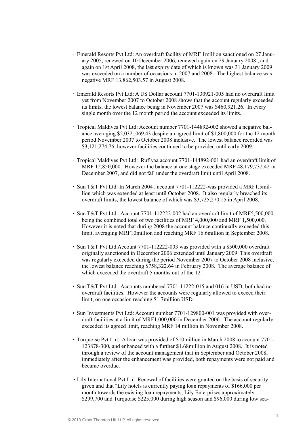- · Emerald Resorts Pvt Ltd: An overdraft facility of MRF 1million sanctioned on 27 January 2005, renewed on 10 December 2006, renewed again on 29 January 2008 , and again on 1st April 2008, the last expiry date of which is known was 31 January 2009 was exceeded on a number of occasions in 2007 and 2008. The highest balance was negative MRF 13,862,503.57 in August 2008.
- · Emerald Resorts Pvt Ltd: A US Dollar account 7701-130921-005 had no overdraft limit yet from November 2007 to October 2008 shows that the account regularly exceeded its limits, the lowest balance being in November 2007 was \$460,921.26. In every single month over the 12 month period the account exceeded its limits.
- · Tropical Maldives Pvt Ltd: Account number 7701-144892-002 showed a negative balance averaging \$2,032.,069.43 despite an agreed limit of \$1,800,000 for the 12 month period November 2007 to October 2008 inclusive. The lowest balance recorded was \$3,121,274.76, however facilities continued to be provided until early 2009.
- · Tropical Maldives Pvt Ltd: Rufiyaa account 7701-144892-001 had an overdraft limit of MRF 12,850,000. However the balance at one stage exceeded MRF 48,179,732.42 in December 2007, and did not fall under the overdraft limit until April 2008.
- Sun T&T Pvt Ltd: In March 2004 , account 7701-112222-was provided a MRF1.5million which was extended at least until October 2008. It also regularly breached its overdraft limits, the lowest balance of which was \$3,725,270.15 in April 2008.
- Sun T&T Pvt Ltd: Account 7701-112222-002 had an overdraft limit of MRF5,500,000 being the combined total of two facilities of MRF 4,000,000 and MRF 1,500,000. However it is noted that during 2008 the account balance continually exceeded this limit, averaging MRF10million and reaching MRF 16.6million in September 2008.
- Sun T&T Pvt Ltd Account 7701-112222-003 was provided with a \$500,000 overdraft originally sanctioned in December 2006 extended until January 2009. This overdraft was regularly exceeded during the period November 2007 to October 2008 inclusive, the lowest balance reaching \$758,322.64 in February 2008. The average balance of which exceeded the overdraft 5 months out of the 12.
- Sun T&T Pvt Ltd: Accounts numbered 7701-11222-015 and 016 in USD, both had no overdraft facilities. However the accounts were regularly allowed to exceed their limit, on one occasion reaching \$1.7million USD.
- Sun Investments Pvt Ltd: Account number 7701-129800-001 was provided with overdraft facilities at a limit of MRF1,000,000 in December 2006. The account regularly exceeded its agreed limit, reaching MRF 14 million in November 2008.
- Turquoise Pvt Ltd: A loan was provided of \$10million in March 2008 to account 7701- 123878-300, and enhanced with a further \$1.68million in August 2008. It is noted through a review of the account management that in September and October 2008, immediately after the enhancement was provided, both repayments were not paid and became overdue.
- Lily International Pvt Ltd Renewal of facilities were granted on the basis of security given and that "Lily hotels is currently paying loan repayments of \$166,000 per month towards the existing loan repayments, Lily Enterprises approximately \$299,700 and Turquoise \$225,000 during high season and \$96,000 during low sea-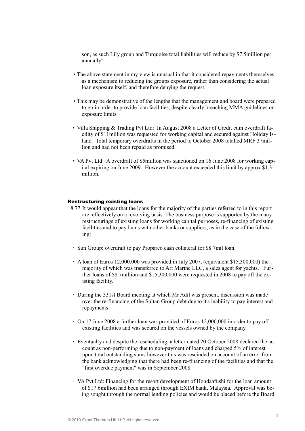son, as such Lily group and Turquoise total liabilities will reduce by \$7.5million per annually"

- The above statement in my view is unusual in that it considered repayments themselves as a mechanism to reducing the groups exposure, rather than considering the actual loan exposure itself, and therefore denying the request.
- This may be demonstrative of the lengths that the management and board were prepared to go in order to provide loan facilities, despite clearly breaching MMA guidelines on exposure limits.
- Villa Shipping & Trading Pvt Ltd: In August 2008 a Letter of Credit cum overdraft facility of \$11million was requested for working capital and secured against Holiday Island. Total temporary overdrafts in the period to October 2008 totalled MRF 37million and had not been repaid as promised.
- VA Pvt Ltd: A overdraft of \$5million was sanctioned on 16 June 2008 for working capital expiring on June 2009. However the account exceeded this limit by approx \$1.3 million.

#### Restructuring existing loans

- 18.77 It would appear that the loans for the majority of the parties referred to in this report are effectively on a revolving basis. The business purpose is supported by the many restructurings of existing loans for working capital purposes, re-financing of existing facilities and to pay loans with other banks or suppliers, as in the case of the following:
	- · Sun Group: overdraft to pay Proparco cash collateral for \$8.7mil loan.
	- · A loan of Euros 12,000,000 was provided in July 2007, (equivalent \$15,300,000) the majority of which was transferred to Art Marine LLC, a sales agent for yachts. Further loans of \$8.7million and \$15,300,000 were requested in 2008 to pay off the existing facility.
	- · During the 331st Board meeting at which Mr Adil was present, discussion was made over the re-financing of the Sultan Group debt due to it's inability to pay interest and repayments.
	- · On 17 June 2008 a further loan was provided of Euros 12,000,000 in order to pay off existing facilities and was secured on the vessels owned by the company.
	- · Eventually and despite the rescheduling, a letter dated 20 October 2008 declared the account as non-performing due to non-payment of loans and charged 5% of interest upon total outstanding sums however this was rescinded on account of an error from the bank acknowledging that there had been re-financing of the facilities and that the "first overdue payment" was in September 2008.
	- · VA Pvt Ltd: Financing for the resort development of Hondaafushi for the loan amount of \$17.6million had been arranged through EXIM bank, Malaysia. Approval was being sought through the normal lending policies and would be placed before the Board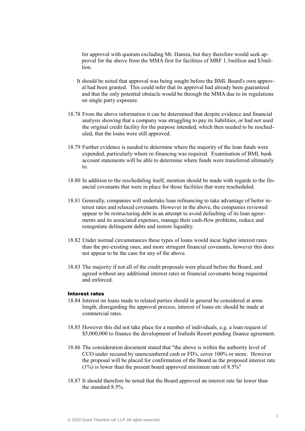for approval with quorum excluding Mr. Hamza, but they therefore would seek approval for the above from the MMA first for facilities of MRF 1.3million and \$3million.

- · It should be noted that approval was being sought before the BML Board's own approval had been granted. This could infer that its approval had already been guaranteed and that the only potential obstacle would be through the MMA due to its regulations on single party exposure.
- 18.78 From the above information it can be determined that despite evidence and financial analysis showing that a company was struggling to pay its liabilities, or had not used the original credit facility for the purpose intended, which then needed to be rescheduled, that the loans were still approved.
- 18.79 Further evidence is needed to determine where the majority of the loan funds were expended, particularly where re-financing was required. Examination of BML bank account statements will be able to determine where funds were transferred ultimately to.
- 18.80 In addition to the rescheduling itself, mention should be made with regards to the financial covenants that were in place for those facilities that were rescheduled.
- 18.81 Generally, companies will undertake loan refinancing to take advantage of better interest rates and relaxed covenants. However in the above, the companies reviewed appear to be restructuring debt in an attempt to avoid defaulting of its loan agreements and its associated expenses, manage their cash-flow problems, reduce and renegotiate delinquent debts and restore liquidity.
- 18.82 Under normal circumstances these types of loans would incur higher interest rates than the pre-existing ones, and more stringent financial covenants, however this does not appear to be the case for any of the above.
- 18.83 The majority if not all of the credit proposals were placed before the Board, and agreed without any additional interest rates or financial covenants being requested and enforced.

## Interest rates

- 18.84 Interest on loans made to related parties should in general be considered at arms length, disregarding the approval process, interest of loans etc should be made at commercial rates.
- 18.85 However this did not take place for a number of individuals, e.g. a loan request of \$5,000,000 to finance the development of Irufushi Resort pending finance agreement.
- 18.86 The consideration document stated that "the above is within the authority level of CCO under secured by unencumbered cash or FD's, cover 100% or more. However the proposal will be placed for confirmation of the Board as the proposed interest rate  $(1\%)$  is lower than the present board approved minimum rate of  $8.5\%$ "
- 18.87 It should therefore be noted that the Board approved an interest rate far lower than the standard 8.5%.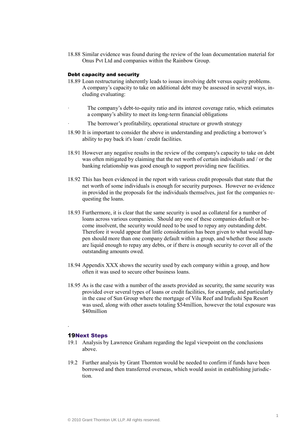18.88 Similar evidence was found during the review of the loan documentation material for Onus Pvt Ltd and companies within the Rainbow Group.

#### Debt capacity and security

- 18.89 Loan restructuring inherently leads to issues involving debt versus equity problems. A company's capacity to take on additional debt may be assessed in several ways, including evaluating:
- The company's debt-to-equity ratio and its interest coverage ratio, which estimates a company's ability to meet its long-term financial obligations
- The borrower's profitability, operational structure or growth strategy
- 18.90 It is important to consider the above in understanding and predicting a borrower's ability to pay back it's loan / credit facilities.
- 18.91 However any negative results in the review of the company's capacity to take on debt was often mitigated by claiming that the net worth of certain individuals and / or the banking relationship was good enough to support providing new facilities.
- 18.92 This has been evidenced in the report with various credit proposals that state that the net worth of some individuals is enough for security purposes. However no evidence in provided in the proposals for the individuals themselves, just for the companies requesting the loans.
- 18.93 Furthermore, it is clear that the same security is used as collateral for a number of loans across various companies. Should any one of these companies default or become insolvent, the security would need to be used to repay any outstanding debt. Therefore it would appear that little consideration has been given to what would happen should more than one company default within a group, and whether those assets are liquid enough to repay any debts, or if there is enough security to cover all of the outstanding amounts owed.
- 18.94 Appendix XXX shows the security used by each company within a group, and how often it was used to secure other business loans.
- 18.95 As is the case with a number of the assets provided as security, the same security was provided over several types of loans or credit facilities, for example, and particularly in the case of Sun Group where the mortgage of Vilu Reef and Irufushi Spa Resort was used, along with other assets totaling \$54million, however the total exposure was \$40million

# 19Next Steps

.

- 19.1 Analysis by Lawrence Graham regarding the legal viewpoint on the conclusions above.
- 19.2 Further analysis by Grant Thornton would be needed to confirm if funds have been borrowed and then transferred overseas, which would assist in establishing jurisdiction.